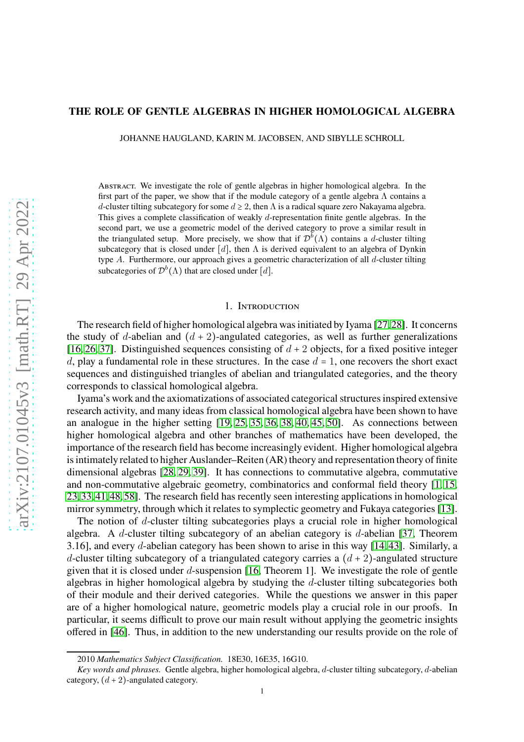### **THE ROLE OF GENTLE ALGEBRAS IN HIGHER HOMOLOGICAL ALGEBRA**

JOHANNE HAUGLAND, KARIN M. JACOBSEN, AND SIBYLLE SCHROLL

Abstract. We investigate the role of gentle algebras in higher homological algebra. In the first part of the paper, we show that if the module category of a gentle algebra  $\Lambda$  contains a d-cluster tilting subcategory for some  $d \geq 2$ , then  $\Lambda$  is a radical square zero Nakayama algebra. This gives a complete classification of weakly d-representation finite gentle algebras. In the second part, we use a geometric model of the derived category to prove a similar result in the triangulated setup. More precisely, we show that if  $\mathcal{D}^b(\Lambda)$  contains a d-cluster tilting subcategory that is closed under [d], then  $\Lambda$  is derived equivalent to an algebra of Dynkin type A. Furthermore, our approach gives a geometric characterization of all d-cluster tilting subcategories of  $\mathcal{D}^{b}(\Lambda)$  that are closed under [d].

### 1. Introduction

The research field of higher homological algebra was initiated by Iyama [\[27,](#page-21-0)[28\]](#page-21-1). It concerns the study of d-abelian and  $(d + 2)$ -angulated categories, as well as further generalizations [\[16,](#page-20-0) [26,](#page-21-2) [37\]](#page-21-3). Distinguished sequences consisting of  $d + 2$  objects, for a fixed positive integer d, play a fundamental role in these structures. In the case  $d = 1$ , one recovers the short exact sequences and distinguished triangles of abelian and triangulated categories, and the theory corresponds to classical homological algebra.

Iyama's work and the axiomatizations of associated categorical structures inspired extensive research activity, and many ideas from classical homological algebra have been shown to have an analogue in the higher setting [\[19,](#page-20-1) [25,](#page-21-4) [35,](#page-21-5) [36,](#page-21-6) [38,](#page-21-7) [40,](#page-21-8) [45,](#page-21-9) [50\]](#page-21-10). As connections between higher homological algebra and other branches of mathematics have been developed, the importance of the research field has become increasingly evident. Higher homological algebra is intimately related to higher Auslander–Reiten (AR) theory and representation theory of finite dimensional algebras [\[28,](#page-21-1) [29,](#page-21-11) [39\]](#page-21-12). It has connections to commutative algebra, commutative and non-commutative algebraic geometry, combinatorics and conformal field theory [\[1,](#page-20-2) [15,](#page-20-3) [23,](#page-21-13) [33,](#page-21-14) [41,](#page-21-15) [48,](#page-21-16) [58\]](#page-22-0). The research field has recently seen interesting applications in homological mirror symmetry, through which it relates to symplectic geometry and Fukaya categories [\[13\]](#page-20-4).

The notion of  $d$ -cluster tilting subcategories plays a crucial role in higher homological algebra. A d-cluster tilting subcategory of an abelian category is d-abelian [\[37,](#page-21-3) Theorem 3.16], and every d-abelian category has been shown to arise in this way [\[14,](#page-20-5) [43\]](#page-21-17). Similarly, a d-cluster tilting subcategory of a triangulated category carries a  $(d+2)$ -angulated structure given that it is closed under  $d$ -suspension [\[16,](#page-20-0) Theorem 1]. We investigate the role of gentle algebras in higher homological algebra by studying the d-cluster tilting subcategories both of their module and their derived categories. While the questions we answer in this paper are of a higher homological nature, geometric models play a crucial role in our proofs. In particular, it seems difficult to prove our main result without applying the geometric insights offered in [\[46\]](#page-21-18). Thus, in addition to the new understanding our results provide on the role of

<sup>2010</sup> *Mathematics Subject Classification.* 18E30, 16E35, 16G10.

*Key words and phrases.* Gentle algebra, higher homological algebra, d-cluster tilting subcategory, d-abelian category,  $(d+2)$ -angulated category.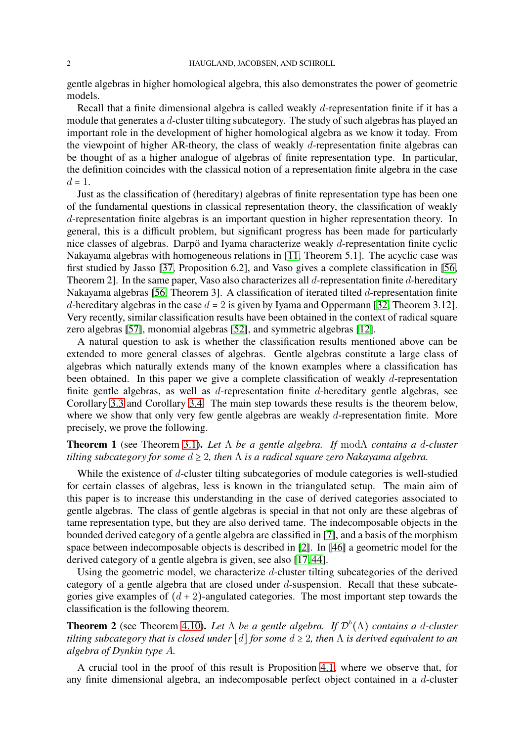gentle algebras in higher homological algebra, this also demonstrates the power of geometric models.

Recall that a finite dimensional algebra is called weakly  $d$ -representation finite if it has a module that generates a d-cluster tilting subcategory. The study of such algebras has played an important role in the development of higher homological algebra as we know it today. From the viewpoint of higher AR-theory, the class of weakly  $d$ -representation finite algebras can be thought of as a higher analogue of algebras of finite representation type. In particular, the definition coincides with the classical notion of a representation finite algebra in the case  $d=1$ .

Just as the classification of (hereditary) algebras of finite representation type has been one of the fundamental questions in classical representation theory, the classification of weakly d-representation finite algebras is an important question in higher representation theory. In general, this is a difficult problem, but significant progress has been made for particularly nice classes of algebras. Darpö and Iyama characterize weakly d-representation finite cyclic Nakayama algebras with homogeneous relations in [\[11,](#page-20-6) Theorem 5.1]. The acyclic case was first studied by Jasso [\[37,](#page-21-3) Proposition 6.2], and Vaso gives a complete classification in [\[56,](#page-22-1) Theorem 2]. In the same paper, Vaso also characterizes all d-representation finite d-hereditary Nakayama algebras [\[56,](#page-22-1) Theorem 3]. A classification of iterated tilted d-representation finite d-hereditary algebras in the case  $d = 2$  is given by Iyama and Oppermann [\[32,](#page-21-19) Theorem 3.12]. Very recently, similar classification results have been obtained in the context of radical square zero algebras [\[57\]](#page-22-2), monomial algebras [\[52\]](#page-22-3), and symmetric algebras [\[12\]](#page-20-7).

A natural question to ask is whether the classification results mentioned above can be extended to more general classes of algebras. Gentle algebras constitute a large class of algebras which naturally extends many of the known examples where a classification has been obtained. In this paper we give a complete classification of weakly d-representation finite gentle algebras, as well as d-representation finite d-hereditary gentle algebras, see Corollary [3.3](#page-10-0) and Corollary [3.4.](#page-10-1) The main step towards these results is the theorem below, where we show that only very few gentle algebras are weakly d-representation finite. More precisely, we prove the following.

# **Theorem 1** (see Theorem [3.1\)](#page-9-0)**.** *Let* Λ *be a gentle algebra. If* modΛ *contains a* d*-cluster tilting subcategory for some* d ≥ 2*, then* Λ *is a radical square zero Nakayama algebra.*

While the existence of d-cluster tilting subcategories of module categories is well-studied for certain classes of algebras, less is known in the triangulated setup. The main aim of this paper is to increase this understanding in the case of derived categories associated to gentle algebras. The class of gentle algebras is special in that not only are these algebras of tame representation type, but they are also derived tame. The indecomposable objects in the bounded derived category of a gentle algebra are classified in [\[7\]](#page-20-8), and a basis of the morphism space between indecomposable objects is described in [\[2\]](#page-20-9). In [\[46\]](#page-21-18) a geometric model for the derived category of a gentle algebra is given, see also [\[17,](#page-20-10) [44\]](#page-21-20).

Using the geometric model, we characterize d-cluster tilting subcategories of the derived category of a gentle algebra that are closed under d-suspension. Recall that these subcategories give examples of  $(d+2)$ -angulated categories. The most important step towards the classification is the following theorem.

**Theorem 2** (see Theorem [4.10\)](#page-15-0). Let  $\Lambda$  be a gentle algebra. If  $\mathcal{D}^b(\Lambda)$  contains a d-cluster *tilting subcategory that is closed under* [d] *for some* d ≥ 2*, then* Λ *is derived equivalent to an algebra of Dynkin type* A*.*

A crucial tool in the proof of this result is Proposition [4.1,](#page-11-0) where we observe that, for any finite dimensional algebra, an indecomposable perfect object contained in a d-cluster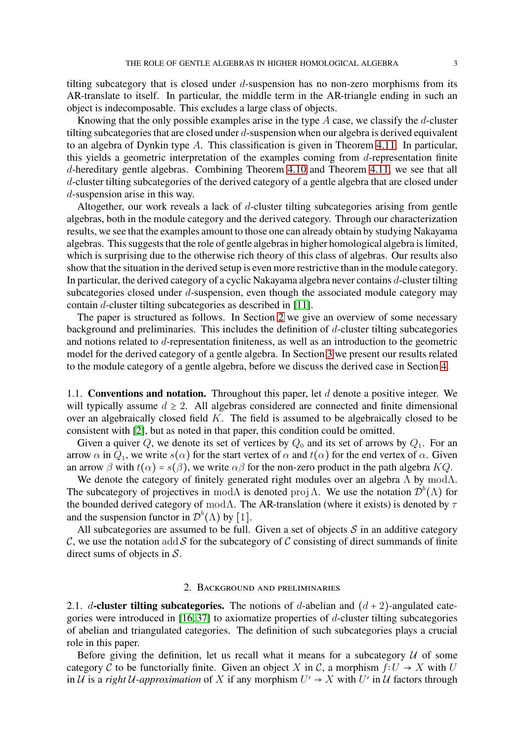tilting subcategory that is closed under  $d$ -suspension has no non-zero morphisms from its AR-translate to itself. In particular, the middle term in the AR-triangle ending in such an object is indecomposable. This excludes a large class of objects.

Knowing that the only possible examples arise in the type  $\tilde{A}$  case, we classify the  $d$ -cluster tilting subcategories that are closed under d-suspension when our algebra is derived equivalent to an algebra of Dynkin type A. This classification is given in Theorem [4.11.](#page-18-0) In particular, this yields a geometric interpretation of the examples coming from  $d$ -representation finite d-hereditary gentle algebras. Combining Theorem [4.10](#page-15-0) and Theorem [4.11,](#page-18-0) we see that all d-cluster tilting subcategories of the derived category of a gentle algebra that are closed under d-suspension arise in this way.

Altogether, our work reveals a lack of d-cluster tilting subcategories arising from gentle algebras, both in the module category and the derived category. Through our characterization results, we see that the examples amount to those one can already obtain by studying Nakayama algebras. This suggests that the role of gentle algebras in higher homological algebra is limited, which is surprising due to the otherwise rich theory of this class of algebras. Our results also show that the situation in the derived setup is even more restrictive than in the module category. In particular, the derived category of a cyclic Nakayama algebra never contains d-cluster tilting subcategories closed under d-suspension, even though the associated module category may contain d-cluster tilting subcategories as described in [\[11\]](#page-20-6).

The paper is structured as follows. In Section [2](#page-2-0) we give an overview of some necessary background and preliminaries. This includes the definition of  $d$ -cluster tilting subcategories and notions related to d-representation finiteness, as well as an introduction to the geometric model for the derived category of a gentle algebra. In Section [3](#page-9-1) we present our results related to the module category of a gentle algebra, before we discuss the derived case in Section [4.](#page-11-1)

1.1. **Conventions and notation.** Throughout this paper, let d denote a positive integer. We will typically assume  $d \geq 2$ . All algebras considered are connected and finite dimensional over an algebraically closed field K. The field is assumed to be algebraically closed to be consistent with [\[2\]](#page-20-9), but as noted in that paper, this condition could be omitted.

Given a quiver Q, we denote its set of vertices by  $Q_0$  and its set of arrows by  $Q_1$ . For an arrow  $\alpha$  in  $Q_1$ , we write  $s(\alpha)$  for the start vertex of  $\alpha$  and  $t(\alpha)$  for the end vertex of  $\alpha$ . Given an arrow  $\beta$  with  $t(\alpha) = s(\beta)$ , we write  $\alpha\beta$  for the non-zero product in the path algebra  $KQ$ .

We denote the category of finitely generated right modules over an algebra  $\Lambda$  by mod $\Lambda$ . The subcategory of projectives in mod $\Lambda$  is denoted proj  $\Lambda$ . We use the notation  $\mathcal{D}^b(\Lambda)$  for the bounded derived category of mod $\Lambda$ . The AR-translation (where it exists) is denoted by  $\tau$ and the suspension functor in  $\mathcal{D}^b(\Lambda)$  by [1].

All subcategories are assumed to be full. Given a set of objects  $S$  in an additive category C, we use the notation add S for the subcategory of C consisting of direct summands of finite direct sums of objects in S.

## 2. Background and preliminaries

<span id="page-2-1"></span><span id="page-2-0"></span>2.1. d-cluster tilting subcategories. The notions of d-abelian and  $(d + 2)$ -angulated categories were introduced in  $[16, 37]$  $[16, 37]$  to axiomatize properties of d-cluster tilting subcategories of abelian and triangulated categories. The definition of such subcategories plays a crucial role in this paper.

Before giving the definition, let us recall what it means for a subcategory  $U$  of some category C to be functorially finite. Given an object X in C, a morphism  $f: U \to X$  with U in U is a *right* U-approximation of X if any morphism  $U' \rightarrow X$  with  $U'$  in U factors through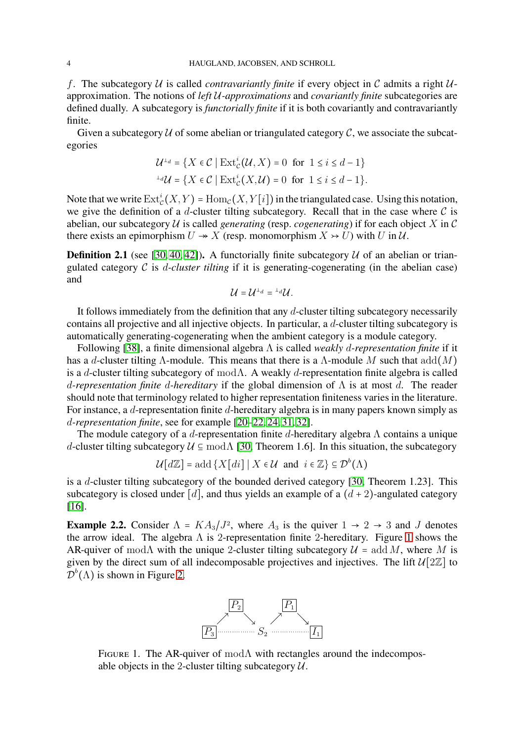f. The subcategory U is called *contravariantly finite* if every object in C admits a right  $U$ approximation. The notions of *left* U*-approximations* and *covariantly finite* subcategories are defined dually. A subcategory is *functorially finite* if it is both covariantly and contravariantly finite.

Given a subcategory  $U$  of some abelian or triangulated category  $C$ , we associate the subcategories

$$
\mathcal{U}^{\perp_d} = \{ X \in \mathcal{C} \mid \text{Ext}^i_{\mathcal{C}}(\mathcal{U}, X) = 0 \text{ for } 1 \le i \le d - 1 \}
$$
  

$$
{}^{\perp_d} \mathcal{U} = \{ X \in \mathcal{C} \mid \text{Ext}^i_{\mathcal{C}}(X, \mathcal{U}) = 0 \text{ for } 1 \le i \le d - 1 \}.
$$

Note that we write  $\mathrm{Ext}^i_{\mathcal{C}}(X,Y) = \mathrm{Hom}_{\mathcal{C}}(X,Y[i])$  in the triangulated case. Using this notation, we give the definition of a d-cluster tilting subcategory. Recall that in the case where  $\mathcal C$  is abelian, our subcategory  $U$  is called *generating* (resp. *cogenerating*) if for each object X in C there exists an epimorphism  $U \rightarrow X$  (resp. monomorphism  $X \rightarrow U$ ) with U in U.

**Definition 2.1** (see [\[30,](#page-21-21) [40,](#page-21-8) [42\]](#page-21-22)). A functorially finite subcategory  $U$  of an abelian or triangulated category C is d*-cluster tilting* if it is generating-cogenerating (in the abelian case) and

$$
\mathcal{U}=\mathcal{U}^{\perp_d}={}^{\perp_d}\mathcal{U}.
$$

It follows immediately from the definition that any d-cluster tilting subcategory necessarily contains all projective and all injective objects. In particular, a d-cluster tilting subcategory is automatically generating-cogenerating when the ambient category is a module category.

Following [\[38\]](#page-21-7), a finite dimensional algebra Λ is called *weakly* d*-representation finite* if it has a d-cluster tilting  $\Lambda$ -module. This means that there is a  $\Lambda$ -module M such that  $add(M)$ is a d-cluster tilting subcategory of modΛ. A weakly d-representation finite algebra is called d*-representation finite* d*-hereditary* if the global dimension of Λ is at most d. The reader should note that terminology related to higher representation finiteness varies in the literature. For instance, a d-representation finite d-hereditary algebra is in many papers known simply as d*-representation finite*, see for example [\[20](#page-21-23)[–22,](#page-21-24) [24,](#page-21-25) [31,](#page-21-26) [32\]](#page-21-19).

The module category of a d-representation finite d-hereditary algebra  $\Lambda$  contains a unique d-cluster tilting subcategory  $U \subseteq \text{mod}\Lambda$  [\[30,](#page-21-21) Theorem 1.6]. In this situation, the subcategory

 $\mathcal{U}[d\mathbb{Z}]$  = add  $\{X[di] \mid X \in \mathcal{U} \text{ and } i \in \mathbb{Z}\} \subseteq \mathcal{D}^b(\Lambda)$ 

is a d-cluster tilting subcategory of the bounded derived category [\[30,](#page-21-21) Theorem 1.23]. This subcategory is closed under [d], and thus yields an example of a  $(d+2)$ -angulated category [\[16\]](#page-20-0).

<span id="page-3-1"></span>**Example 2.2.** Consider  $\Lambda = KA_3/J^2$ , where  $A_3$  is the quiver  $1 \rightarrow 2 \rightarrow 3$  and J denotes the arrow ideal. The algebra  $\Lambda$  is 2-representation finite 2-hereditary. Figure [1](#page-3-0) shows the AR-quiver of mod $\Lambda$  with the unique 2-cluster tilting subcategory  $\mathcal{U} = \text{add }M$ , where M is given by the direct sum of all indecomposable projectives and injectives. The lift  $\mathcal{U}[2\mathbb{Z}]$  to  $\mathcal{D}^b(\Lambda)$  is shown in Figure [2.](#page-4-0)



<span id="page-3-0"></span>FIGURE 1. The AR-quiver of mod $\Lambda$  with rectangles around the indecomposable objects in the 2-cluster tilting subcategory  $U$ .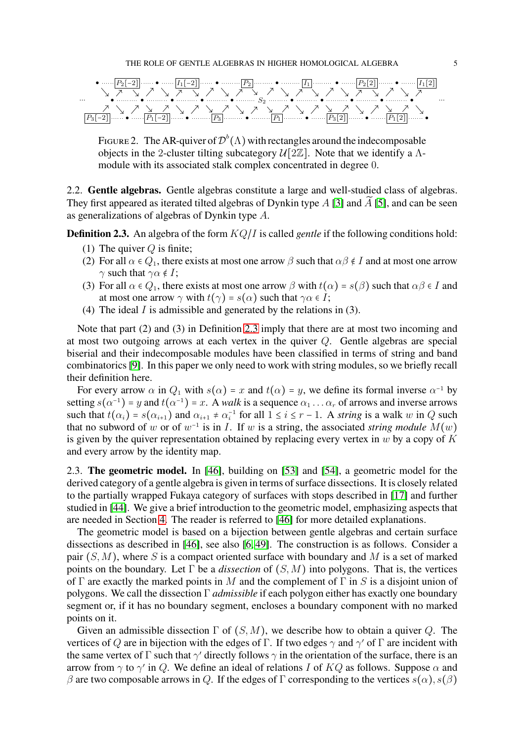

<span id="page-4-0"></span>FIGURE 2. The AR-quiver of  $\mathcal{D}^b(\Lambda)$  with rectangles around the indecomposable objects in the 2-cluster tilting subcategory  $\mathcal{U}[2\mathbb{Z}]$ . Note that we identify a  $\Lambda$ module with its associated stalk complex concentrated in degree 0.

2.2. **Gentle algebras.** Gentle algebras constitute a large and well-studied class of algebras. They first appeared as iterated tilted algebras of Dynkin type  $A$  [\[3\]](#page-20-11) and  $\tilde{A}$  [\[5\]](#page-20-12), and can be seen as generalizations of algebras of Dynkin type A.

<span id="page-4-1"></span>**Definition 2.3.** An algebra of the form  $KQ/I$  is called *gentle* if the following conditions hold:

- (1) The quiver  $Q$  is finite;
- (2) For all  $\alpha \in Q_1$ , there exists at most one arrow  $\beta$  such that  $\alpha \beta \notin I$  and at most one arrow  $\gamma$  such that  $\gamma \alpha \notin I$ ;
- (3) For all  $\alpha \in Q_1$ , there exists at most one arrow  $\beta$  with  $t(\alpha) = s(\beta)$  such that  $\alpha \beta \in I$  and at most one arrow  $\gamma$  with  $t(\gamma) = s(\alpha)$  such that  $\gamma \alpha \in I$ ;
- (4) The ideal  $I$  is admissible and generated by the relations in (3).

Note that part (2) and (3) in Definition [2.3](#page-4-1) imply that there are at most two incoming and at most two outgoing arrows at each vertex in the quiver Q. Gentle algebras are special biserial and their indecomposable modules have been classified in terms of string and band combinatorics [\[9\]](#page-20-13). In this paper we only need to work with string modules, so we briefly recall their definition here.

For every arrow  $\alpha$  in  $Q_1$  with  $s(\alpha) = x$  and  $t(\alpha) = y$ , we define its formal inverse  $\alpha^{-1}$  by setting  $s(\alpha^{-1})$  = y and  $t(\alpha^{-1})$  = x. A *walk* is a sequence  $\alpha_1 \dots \alpha_r$  of arrows and inverse arrows such that  $t(\alpha_i) = s(\alpha_{i+1})$  and  $\alpha_{i+1} \neq \alpha_i^{-1}$  for all  $1 \leq i \leq r-1$ . A *string* is a walk w in Q such that no subword of w or of  $w^{-1}$  is in *I*. If w is a string, the associated *string module*  $M(w)$ is given by the quiver representation obtained by replacing every vertex in  $w$  by a copy of  $K$ and every arrow by the identity map.

<span id="page-4-2"></span>2.3. **The geometric model.** In [\[46\]](#page-21-18), building on [\[53\]](#page-22-4) and [\[54\]](#page-22-5), a geometric model for the derived category of a gentle algebra is given in terms of surface dissections. It is closely related to the partially wrapped Fukaya category of surfaces with stops described in [\[17\]](#page-20-10) and further studied in [\[44\]](#page-21-20). We give a brief introduction to the geometric model, emphasizing aspects that are needed in Section [4.](#page-11-1) The reader is referred to [\[46\]](#page-21-18) for more detailed explanations.

The geometric model is based on a bijection between gentle algebras and certain surface dissections as described in [\[46\]](#page-21-18), see also [\[6,](#page-20-14) [49\]](#page-21-27). The construction is as follows. Consider a pair  $(S, M)$ , where S is a compact oriented surface with boundary and M is a set of marked points on the boundary. Let  $\Gamma$  be a *dissection* of  $(S, M)$  into polygons. That is, the vertices of Γ are exactly the marked points in M and the complement of Γ in S is a disjoint union of polygons. We call the dissection Γ *admissible* if each polygon either has exactly one boundary segment or, if it has no boundary segment, encloses a boundary component with no marked points on it.

Given an admissible dissection  $\Gamma$  of  $(S, M)$ , we describe how to obtain a quiver Q. The vertices of Q are in bijection with the edges of  $\Gamma$ . If two edges  $\gamma$  and  $\gamma'$  of  $\Gamma$  are incident with the same vertex of  $\Gamma$  such that  $\gamma'$  directly follows  $\gamma$  in the orientation of the surface, there is an arrow from  $\gamma$  to  $\gamma'$  in Q. We define an ideal of relations I of KQ as follows. Suppose  $\alpha$  and β are two composable arrows in Q. If the edges of Γ corresponding to the vertices  $s(α)$ ,  $s(β)$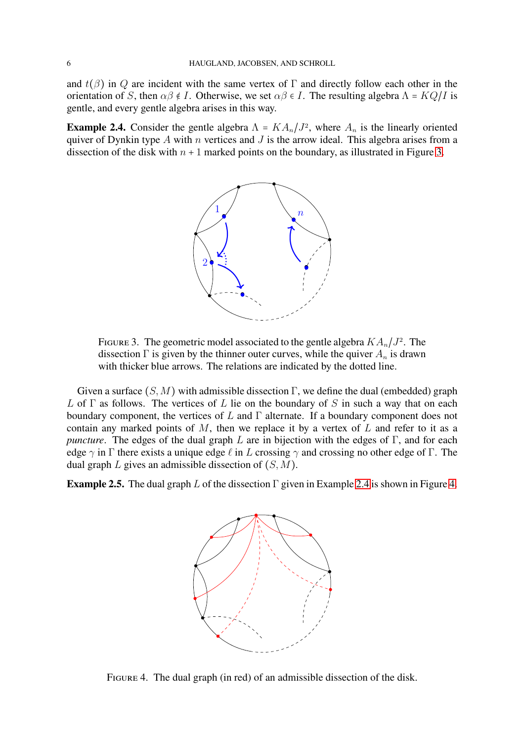and  $t(\beta)$  in Q are incident with the same vertex of  $\Gamma$  and directly follow each other in the orientation of S, then  $\alpha\beta \notin I$ . Otherwise, we set  $\alpha\beta \in I$ . The resulting algebra  $\Lambda = KQ/I$  is gentle, and every gentle algebra arises in this way.

<span id="page-5-1"></span>**Example 2.4.** Consider the gentle algebra  $\Lambda = K A_n / J^2$ , where  $A_n$  is the linearly oriented quiver of Dynkin type A with n vertices and J is the arrow ideal. This algebra arises from a dissection of the disk with  $n + 1$  marked points on the boundary, as illustrated in Figure [3.](#page-5-0)



<span id="page-5-0"></span>FIGURE 3. The geometric model associated to the gentle algebra  $KA_n/J^2$ . The dissection  $\Gamma$  is given by the thinner outer curves, while the quiver  $A_n$  is drawn with thicker blue arrows. The relations are indicated by the dotted line.

Given a surface  $(S, M)$  with admissible dissection  $\Gamma$ , we define the dual (embedded) graph L of  $\Gamma$  as follows. The vertices of L lie on the boundary of S in such a way that on each boundary component, the vertices of  $L$  and  $\Gamma$  alternate. If a boundary component does not contain any marked points of  $M$ , then we replace it by a vertex of  $L$  and refer to it as a *puncture*. The edges of the dual graph L are in bijection with the edges of Γ, and for each edge  $\gamma$  in Γ there exists a unique edge  $\ell$  in L crossing  $\gamma$  and crossing no other edge of Γ. The dual graph  $L$  gives an admissible dissection of  $(S, M)$ .

<span id="page-5-3"></span>**Example 2.5.** The dual graph L of the dissection Γ given in Example [2.4](#page-5-1) is shown in Figure [4.](#page-5-2)



<span id="page-5-2"></span>Figure 4. The dual graph (in red) of an admissible dissection of the disk.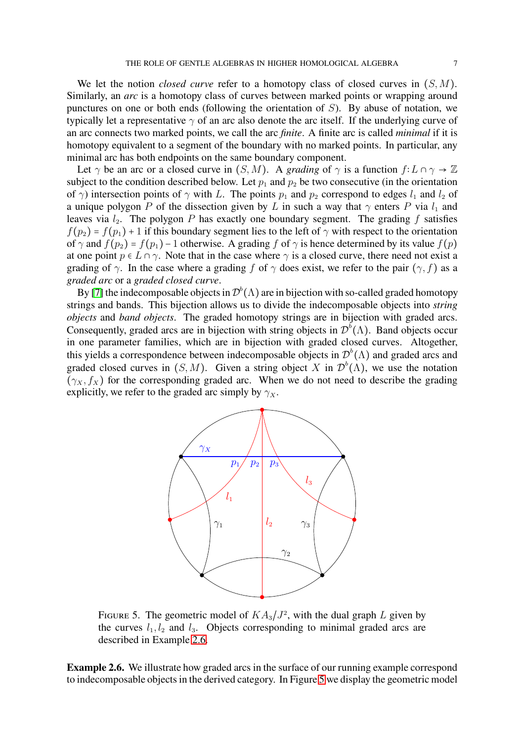We let the notion *closed curve* refer to a homotopy class of closed curves in  $(S, M)$ . Similarly, an *arc* is a homotopy class of curves between marked points or wrapping around punctures on one or both ends (following the orientation of S). By abuse of notation, we typically let a representative  $\gamma$  of an arc also denote the arc itself. If the underlying curve of an arc connects two marked points, we call the arc *finite*. A finite arc is called *minimal* if it is homotopy equivalent to a segment of the boundary with no marked points. In particular, any minimal arc has both endpoints on the same boundary component.

Let  $\gamma$  be an arc or a closed curve in  $(S, M)$ . A *grading* of  $\gamma$  is a function  $f: L \cap \gamma \to \mathbb{Z}$ subject to the condition described below. Let  $p_1$  and  $p_2$  be two consecutive (in the orientation of  $\gamma$ ) intersection points of  $\gamma$  with L. The points  $p_1$  and  $p_2$  correspond to edges  $l_1$  and  $l_2$  of a unique polygon P of the dissection given by L in such a way that  $\gamma$  enters P via  $l_1$  and leaves via  $l_2$ . The polygon P has exactly one boundary segment. The grading f satisfies  $f(p_2) = f(p_1) + 1$  if this boundary segment lies to the left of  $\gamma$  with respect to the orientation of  $\gamma$  and  $f(p_2) = f(p_1) - 1$  otherwise. A grading f of  $\gamma$  is hence determined by its value  $f(p)$ at one point  $p \in L \cap \gamma$ . Note that in the case where  $\gamma$  is a closed curve, there need not exist a grading of  $\gamma$ . In the case where a grading f of  $\gamma$  does exist, we refer to the pair  $(\gamma, f)$  as a *graded arc* or a *graded closed curve*.

By [\[7\]](#page-20-8) the indecomposable objects in  $\mathcal{D}^b(\Lambda)$  are in bijection with so-called graded homotopy strings and bands. This bijection allows us to divide the indecomposable objects into *string objects* and *band objects*. The graded homotopy strings are in bijection with graded arcs. Consequently, graded arcs are in bijection with string objects in  $\mathcal{D}^b(\Lambda)$ . Band objects occur in one parameter families, which are in bijection with graded closed curves. Altogether, this yields a correspondence between indecomposable objects in  $\mathcal{D}^b(\Lambda)$  and graded arcs and graded closed curves in  $(S, M)$ . Given a string object X in  $\mathcal{D}^b(\Lambda)$ , we use the notation  $(\gamma_X, f_X)$  for the corresponding graded arc. When we do not need to describe the grading explicitly, we refer to the graded arc simply by  $\gamma_x$ .



<span id="page-6-1"></span>FIGURE 5. The geometric model of  $KA_3/J^2$ , with the dual graph L given by the curves  $l_1, l_2$  and  $l_3$ . Objects corresponding to minimal graded arcs are described in Example [2.6.](#page-6-0)

<span id="page-6-0"></span>**Example 2.6.** We illustrate how graded arcs in the surface of our running example correspond to indecomposable objects in the derived category. In Figure [5](#page-6-1) we display the geometric model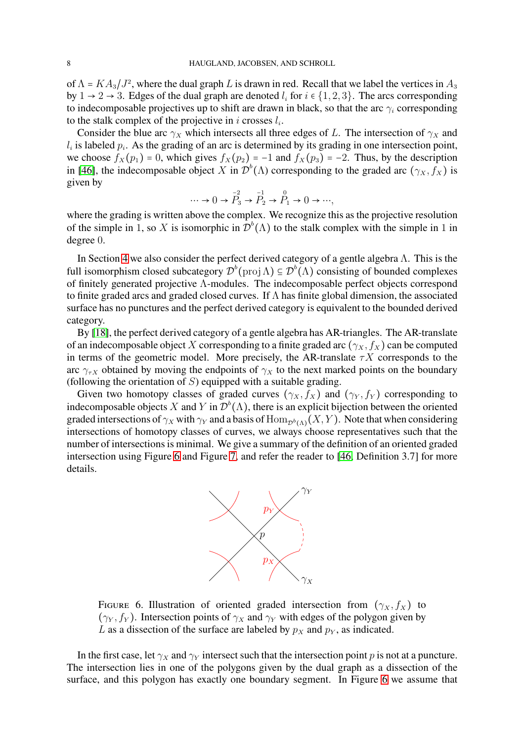of  $\Lambda = KA_3/J^2$ , where the dual graph L is drawn in red. Recall that we label the vertices in  $A_3$ by  $1 \rightarrow 2 \rightarrow 3$ . Edges of the dual graph are denoted  $l_i$  for  $i \in \{1, 2, 3\}$ . The arcs corresponding to indecomposable projectives up to shift are drawn in black, so that the arc  $\gamma_i$  corresponding to the stalk complex of the projective in i crosses  $l_i$ .

Consider the blue arc  $\gamma_X$  which intersects all three edges of L. The intersection of  $\gamma_X$  and  $l_i$  is labeled  $p_i$ . As the grading of an arc is determined by its grading in one intersection point, we choose  $f_X(p_1) = 0$ , which gives  $f_X(p_2) = -1$  and  $f_X(p_3) = -2$ . Thus, by the description in [\[46\]](#page-21-18), the indecomposable object X in  $\mathcal{D}^b(\Lambda)$  corresponding to the graded arc  $(\gamma_X, f_X)$  is given by

$$
\cdots \rightarrow 0 \rightarrow \overset{-2}{P_3} \rightarrow \overset{-1}{P_2} \rightarrow \overset{0}{P_1} \rightarrow 0 \rightarrow \cdots,
$$

where the grading is written above the complex. We recognize this as the projective resolution of the simple in 1, so X is isomorphic in  $\mathcal{D}^b(\Lambda)$  to the stalk complex with the simple in 1 in degree 0.

In Section [4](#page-11-1) we also consider the perfect derived category of a gentle algebra  $\Lambda$ . This is the full isomorphism closed subcategory  $\mathcal{D}^b(\text{proj}\,\Lambda) \subseteq \mathcal{D}^b(\Lambda)$  consisting of bounded complexes of finitely generated projective Λ-modules. The indecomposable perfect objects correspond to finite graded arcs and graded closed curves. If  $\Lambda$  has finite global dimension, the associated surface has no punctures and the perfect derived category is equivalent to the bounded derived category.

By [\[18\]](#page-20-15), the perfect derived category of a gentle algebra has AR-triangles. The AR-translate of an indecomposable object X corresponding to a finite graded arc  $(\gamma_X, f_X)$  can be computed in terms of the geometric model. More precisely, the AR-translate  $\tau X$  corresponds to the arc  $\gamma_{\tau X}$  obtained by moving the endpoints of  $\gamma_X$  to the next marked points on the boundary (following the orientation of  $S$ ) equipped with a suitable grading.

Given two homotopy classes of graded curves  $(\gamma_X, f_X)$  and  $(\gamma_Y, f_Y)$  corresponding to indecomposable objects X and Y in  $\mathcal{D}^b(\Lambda)$ , there is an explicit bijection between the oriented graded intersections of  $\gamma_X$  with  $\gamma_Y$  and a basis of  $\text{Hom}_{\mathcal{D}^b(\Lambda)}(X, Y)$ . Note that when considering intersections of homotopy classes of curves, we always choose representatives such that the number of intersections is minimal. We give a summary of the definition of an oriented graded intersection using Figure [6](#page-7-0) and Figure [7,](#page-8-0) and refer the reader to [\[46,](#page-21-18) Definition 3.7] for more details.



<span id="page-7-0"></span>FIGURE 6. Illustration of oriented graded intersection from  $(\gamma_X, f_X)$  to  $(\gamma_Y, f_Y)$ . Intersection points of  $\gamma_X$  and  $\gamma_Y$  with edges of the polygon given by L as a dissection of the surface are labeled by  $p<sub>X</sub>$  and  $p<sub>Y</sub>$ , as indicated.

In the first case, let  $\gamma_X$  and  $\gamma_Y$  intersect such that the intersection point p is not at a puncture. The intersection lies in one of the polygons given by the dual graph as a dissection of the surface, and this polygon has exactly one boundary segment. In Figure [6](#page-7-0) we assume that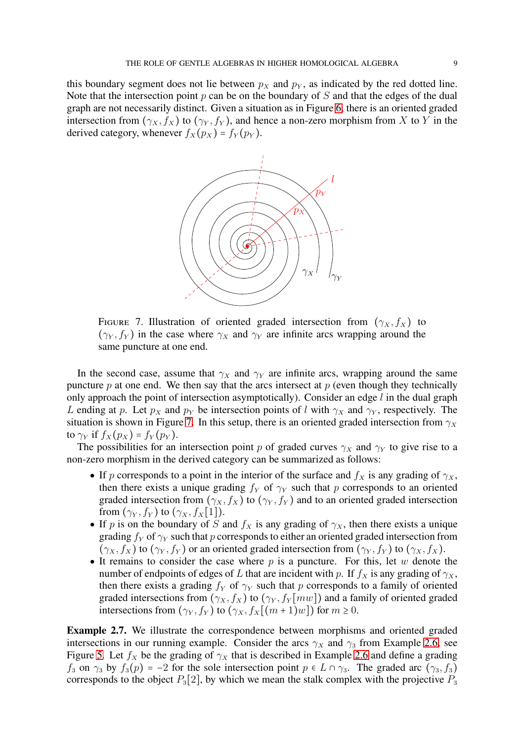this boundary segment does not lie between  $p_X$  and  $p_Y$ , as indicated by the red dotted line. Note that the intersection point  $p$  can be on the boundary of  $S$  and that the edges of the dual graph are not necessarily distinct. Given a situation as in Figure [6,](#page-7-0) there is an oriented graded intersection from  $(\gamma_X, f_X)$  to  $(\gamma_Y, f_Y)$ , and hence a non-zero morphism from X to Y in the derived category, whenever  $f_X(p_X) = f_Y(p_Y)$ .



<span id="page-8-0"></span>FIGURE 7. Illustration of oriented graded intersection from  $(\gamma_X, f_X)$  to  $(\gamma_Y, f_Y)$  in the case where  $\gamma_X$  and  $\gamma_Y$  are infinite arcs wrapping around the same puncture at one end.

In the second case, assume that  $\gamma_X$  and  $\gamma_Y$  are infinite arcs, wrapping around the same puncture  $p$  at one end. We then say that the arcs intersect at  $p$  (even though they technically only approach the point of intersection asymptotically). Consider an edge  $l$  in the dual graph L ending at p. Let  $p_X$  and  $p_Y$  be intersection points of l with  $\gamma_X$  and  $\gamma_Y$ , respectively. The situation is shown in Figure [7.](#page-8-0) In this setup, there is an oriented graded intersection from  $\gamma_X$ to  $\gamma_Y$  if  $f_X(p_X) = f_Y(p_Y)$ .

The possibilities for an intersection point p of graded curves  $\gamma_X$  and  $\gamma_Y$  to give rise to a non-zero morphism in the derived category can be summarized as follows:

- If p corresponds to a point in the interior of the surface and  $f_X$  is any grading of  $\gamma_X$ , then there exists a unique grading  $f_Y$  of  $\gamma_Y$  such that p corresponds to an oriented graded intersection from  $(\gamma_X, f_X)$  to  $(\gamma_Y, f_Y)$  and to an oriented graded intersection from  $(\gamma_Y, f_Y)$  to  $(\gamma_X, f_X[1])$ .
- If p is on the boundary of S and  $f_X$  is any grading of  $\gamma_X$ , then there exists a unique grading  $f_Y$  of  $\gamma_Y$  such that p corresponds to either an oriented graded intersection from  $(\gamma_X, f_X)$  to  $(\gamma_Y, f_Y)$  or an oriented graded intersection from  $(\gamma_Y, f_Y)$  to  $(\gamma_X, f_X)$ .
- It remains to consider the case where  $p$  is a puncture. For this, let  $w$  denote the number of endpoints of edges of L that are incident with p. If  $f_X$  is any grading of  $\gamma_X$ , then there exists a grading  $f_Y$  of  $\gamma_Y$  such that p corresponds to a family of oriented graded intersections from  $(\gamma_X, f_X)$  to  $(\gamma_Y, f_Y[mw])$  and a family of oriented graded intersections from  $(\gamma_Y, f_Y)$  to  $(\gamma_X, f_X[(m+1)w])$  for  $m \ge 0$ .

**Example 2.7.** We illustrate the correspondence between morphisms and oriented graded intersections in our running example. Consider the arcs  $\gamma_X$  and  $\gamma_3$  from Example [2.6,](#page-6-0) see Figure [5.](#page-6-1) Let  $f_X$  be the grading of  $\gamma_X$  that is described in Example [2.6](#page-6-0) and define a grading  $f_3$  on  $\gamma_3$  by  $f_3(p) = -2$  for the sole intersection point  $p \in L \cap \gamma_3$ . The graded arc  $(\gamma_3, f_3)$ corresponds to the object  $P_3[2]$ , by which we mean the stalk complex with the projective  $P_3$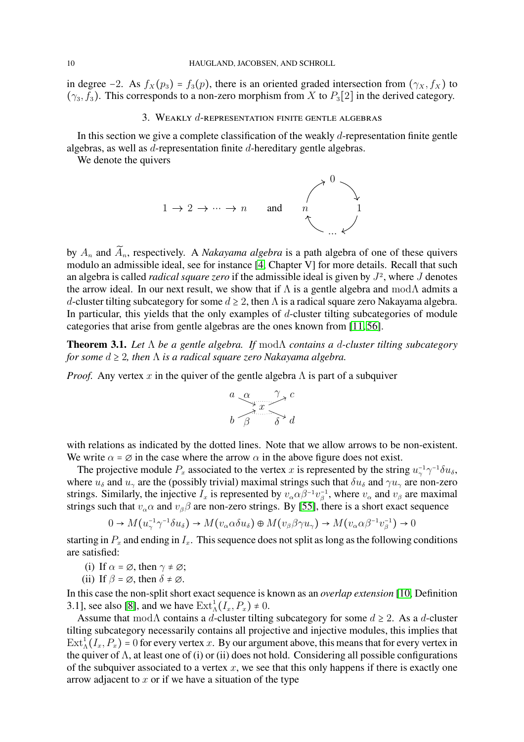<span id="page-9-1"></span>in degree −2. As  $f_X(p_3) = f_3(p)$ , there is an oriented graded intersection from  $(\gamma_X, f_X)$  to  $(\gamma_3, f_3)$ . This corresponds to a non-zero morphism from X to  $P_3[2]$  in the derived category.

### 3. WEAKLY  $d$ -REPRESENTATION FINITE GENTLE ALGEBRAS

In this section we give a complete classification of the weakly  $d$ -representation finite gentle algebras, as well as d-representation finite d-hereditary gentle algebras.

We denote the quivers



by  $A_n$  and  $\widetilde{A}_n$ , respectively. A *Nakayama algebra* is a path algebra of one of these quivers modulo an admissible ideal, see for instance [\[4,](#page-20-16) Chapter V] for more details. Recall that such an algebra is called *radical square zero* if the admissible ideal is given by J 2 , where J denotes the arrow ideal. In our next result, we show that if  $\Lambda$  is a gentle algebra and mod $\Lambda$  admits a d-cluster tilting subcategory for some  $d \geq 2$ , then  $\Lambda$  is a radical square zero Nakayama algebra. In particular, this yields that the only examples of  $d$ -cluster tilting subcategories of module categories that arise from gentle algebras are the ones known from [\[11,](#page-20-6) [56\]](#page-22-1).

<span id="page-9-0"></span>**Theorem 3.1.** *Let* Λ *be a gentle algebra. If* modΛ *contains a* d*-cluster tilting subcategory for some d* ≥ 2*, then* Λ *is a radical square zero Nakayama algebra.* 

*Proof.* Any vertex x in the quiver of the gentle algebra  $\Lambda$  is part of a subquiver

$$
\begin{array}{c}\n a \quad \alpha \quad \gamma \quad c \\
b \quad \beta \quad \delta \quad d\n\end{array}
$$

with relations as indicated by the dotted lines. Note that we allow arrows to be non-existent. We write  $\alpha = \emptyset$  in the case where the arrow  $\alpha$  in the above figure does not exist.

The projective module  $P_x$  associated to the vertex x is represented by the string  $u_\gamma^{-1} \gamma^{-1} \delta u_\delta$ , where  $u_{\delta}$  and  $u_{\gamma}$  are the (possibly trivial) maximal strings such that  $\delta u_{\delta}$  and  $\gamma u_{\gamma}$  are non-zero strings. Similarly, the injective  $I_x$  is represented by  $v_\alpha \alpha \beta^{-1} v_\beta^{-1}$ , where  $v_\alpha$  and  $v_\beta$  are maximal strings such that  $v_{\alpha} \alpha$  and  $v_{\beta} \beta$  are non-zero strings. By [\[55\]](#page-22-6), there is a short exact sequence

$$
0 \to M(u_{\gamma}^{-1}\gamma^{-1}\delta u_{\delta}) \to M(v_{\alpha}\alpha\delta u_{\delta}) \oplus M(v_{\beta}\beta\gamma u_{\gamma}) \to M(v_{\alpha}\alpha\beta^{-1}v_{\beta}^{-1}) \to 0
$$

starting in  $P_x$  and ending in  $I_x$ . This sequence does not split as long as the following conditions are satisfied:

- (i) If  $\alpha = \emptyset$ , then  $\gamma \neq \emptyset$ ;
- (ii) If  $\beta = \emptyset$ , then  $\delta \neq \emptyset$ .

In this case the non-split short exact sequence is known as an *overlap extension* [\[10,](#page-20-17) Definition 3.1], see also [\[8\]](#page-20-18), and we have  $\text{Ext}^1_{\Lambda}(I_x, P_x) \neq 0$ .

Assume that mod $\Lambda$  contains a d-cluster tilting subcategory for some  $d \geq 2$ . As a d-cluster tilting subcategory necessarily contains all projective and injective modules, this implies that  $\text{Ext}_{\Lambda}^{1}(I_{x}, P_{x}) = 0$  for every vertex x. By our argument above, this means that for every vertex in the quiver of  $\Lambda$ , at least one of (i) or (ii) does not hold. Considering all possible configurations of the subquiver associated to a vertex  $x$ , we see that this only happens if there is exactly one arrow adjacent to  $x$  or if we have a situation of the type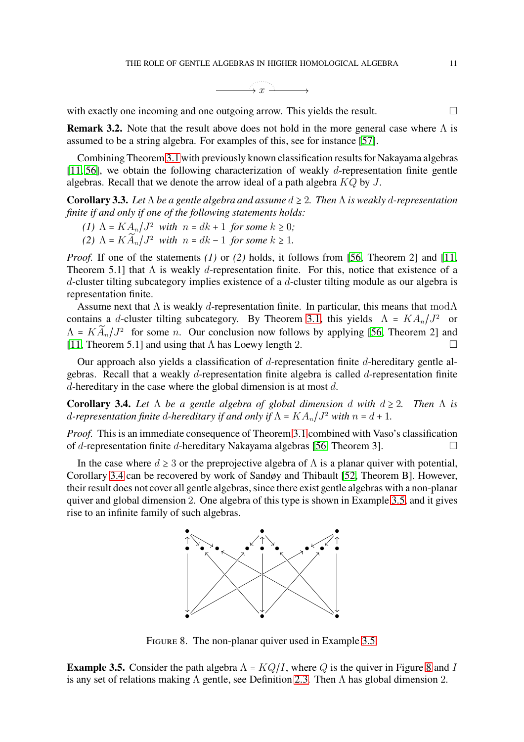

with exactly one incoming and one outgoing arrow. This yields the result.

**Remark 3.2.** Note that the result above does not hold in the more general case where Λ is assumed to be a string algebra. For examples of this, see for instance [\[57\]](#page-22-2).

Combining Theorem [3.1](#page-9-0) with previously known classification results for Nakayama algebras [\[11,](#page-20-6) [56\]](#page-22-1), we obtain the following characterization of weakly d-representation finite gentle algebras. Recall that we denote the arrow ideal of a path algebra  $KQ$  by  $J$ .

<span id="page-10-0"></span>**Corollary 3.3.** *Let* Λ *be a gentle algebra and assume* d ≥ 2*. Then* Λ *is weakly* d*-representation finite if and only if one of the following statements holds:*

- *(1)*  $\Lambda = KA_n/J^2$  *with*  $n = dk + 1$  *for some*  $k \geq 0$ *;*
- *(2)*  $\Lambda = K \widetilde{A}_n / J^2$  *with*  $n = dk 1$  *for some*  $k \ge 1$ *.*

*Proof.* If one of the statements *(1)* or *(2)* holds, it follows from [\[56,](#page-22-1) Theorem 2] and [\[11,](#page-20-6) Theorem 5.1] that  $\Lambda$  is weakly d-representation finite. For this, notice that existence of a d-cluster tilting subcategory implies existence of a d-cluster tilting module as our algebra is representation finite.

Assume next that  $\Lambda$  is weakly d-representation finite. In particular, this means that mod $\Lambda$ contains a d-cluster tilting subcategory. By Theorem [3.1,](#page-9-0) this yields  $\Lambda = K A_n / J^2$  or  $\Lambda = K \widetilde{A}_n / J^2$  for some *n*. Our conclusion now follows by applying [\[56,](#page-22-1) Theorem 2] and [\[11,](#page-20-6) Theorem 5.1] and using that  $\Lambda$  has Loewy length 2.

Our approach also yields a classification of d-representation finite d-hereditary gentle algebras. Recall that a weakly d-representation finite algebra is called d-representation finite  $d$ -hereditary in the case where the global dimension is at most  $d$ .

<span id="page-10-1"></span>**Corollary 3.4.** Let  $\Lambda$  be a gentle algebra of global dimension d with  $d \geq 2$ . Then  $\Lambda$  is d-representation finite d-hereditary if and only if  $\Lambda = K A_n / J^2$  with  $n = d + 1$ .

*Proof.* This is an immediate consequence of Theorem [3.1](#page-9-0) combined with Vaso's classification of d-representation finite d-hereditary Nakayama algebras [\[56,](#page-22-1) Theorem 3].

In the case where  $d \geq 3$  or the preprojective algebra of  $\Lambda$  is a planar quiver with potential, Corollary [3.4](#page-10-1) can be recovered by work of Sandøy and Thibault [\[52,](#page-22-3) Theorem B]. However, their result does not cover all gentle algebras, since there exist gentle algebras with a non-planar quiver and global dimension 2. One algebra of this type is shown in Example [3.5,](#page-10-2) and it gives rise to an infinite family of such algebras.



<span id="page-10-3"></span>FIGURE 8. The non-planar quiver used in Example [3.5.](#page-10-2)

<span id="page-10-2"></span>**Example 3.5.** Consider the path algebra  $\Lambda = KQ/I$ , where Q is the quiver in Figure [8](#page-10-3) and I is any set of relations making  $\Lambda$  gentle, see Definition [2.3.](#page-4-1) Then  $\Lambda$  has global dimension 2.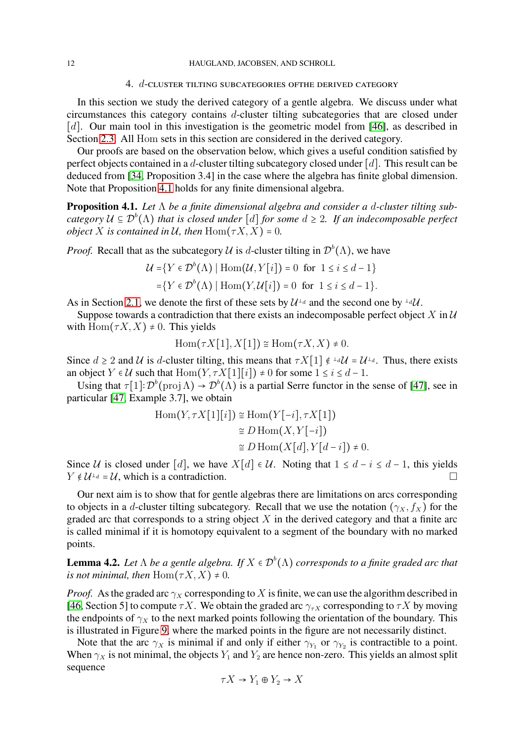### 4. d-cluster tilting subcategories ofthe derived category

<span id="page-11-1"></span>In this section we study the derived category of a gentle algebra. We discuss under what circumstances this category contains d-cluster tilting subcategories that are closed under [d]. Our main tool in this investigation is the geometric model from [\[46\]](#page-21-18), as described in Section [2.3.](#page-4-2) All Hom sets in this section are considered in the derived category.

Our proofs are based on the observation below, which gives a useful condition satisfied by perfect objects contained in a d-cluster tilting subcategory closed under  $[d]$ . This result can be deduced from [\[34,](#page-21-28) Proposition 3.4] in the case where the algebra has finite global dimension. Note that Proposition [4.1](#page-11-0) holds for any finite dimensional algebra.

<span id="page-11-0"></span>**Proposition 4.1.** *Let* Λ *be a finite dimensional algebra and consider a* d*-cluster tilting subcategory* U ⊆ D b (Λ) *that is closed under* [d] *for some* d ≥ 2*. If an indecomposable perfect object* X *is contained in* U, then  $\text{Hom}(T X, X) = 0$ .

*Proof.* Recall that as the subcategory  $\mathcal U$  is d-cluster tilting in  $\mathcal D^b(\Lambda)$ , we have

$$
\mathcal{U} = \{ Y \in \mathcal{D}^b(\Lambda) \mid \text{Hom}(\mathcal{U}, Y[i]) = 0 \text{ for } 1 \le i \le d - 1 \}
$$

$$
= \{ Y \in \mathcal{D}^b(\Lambda) \mid \text{Hom}(Y, \mathcal{U}[i]) = 0 \text{ for } 1 \le i \le d - 1 \}.
$$

As in Section [2.1,](#page-2-1) we denote the first of these sets by  $\mathcal{U}^{\perp_d}$  and the second one by  $^{\perp_d}\mathcal{U}$ .

Suppose towards a contradiction that there exists an indecomposable perfect object X in  $\mathcal U$ with  $\text{Hom}(\tau X, X) \neq 0$ . This yields

$$
\operatorname{Hom}(\tau X[1], X[1]) \cong \operatorname{Hom}(\tau X, X) \neq 0.
$$

Since  $d \ge 2$  and U is d-cluster tilting, this means that  $\tau X[1] \notin \mathbb{L}^d U = U^{\perp_d}$ . Thus, there exists an object  $Y \in \mathcal{U}$  such that  $\text{Hom}(Y, \tau X[1][i]) \neq 0$  for some  $1 \leq i \leq d - 1$ .

Using that  $\tau[1]: \mathcal{D}^b(\text{proj}\,\Lambda) \to \mathcal{D}^b(\Lambda)$  is a partial Serre functor in the sense of [\[47\]](#page-21-29), see in particular [\[47,](#page-21-29) Example 3.7], we obtain

$$
\text{Hom}(Y, \tau X[1][i]) \cong \text{Hom}(Y[-i], \tau X[1])
$$

$$
\cong D \text{Hom}(X, Y[-i])
$$

$$
\cong D \text{Hom}(X[d], Y[d-i]) \neq 0.
$$

Since U is closed under [d], we have  $X[d] \in U$ . Noting that  $1 \le d - i \le d - 1$ , this yields  $Y \notin \mathcal{U}^{\perp_d} = \mathcal{U}$ , which is a contradiction.

Our next aim is to show that for gentle algebras there are limitations on arcs corresponding to objects in a d-cluster tilting subcategory. Recall that we use the notation  $(\gamma_X, f_X)$  for the graded arc that corresponds to a string object  $X$  in the derived category and that a finite arc is called minimal if it is homotopy equivalent to a segment of the boundary with no marked points.

<span id="page-11-2"></span>**Lemma 4.2.** Let  $\Lambda$  be a gentle algebra. If  $X \in \mathcal{D}^b(\Lambda)$  corresponds to a finite graded arc that *is not minimal, then*  $\text{Hom}( \tau X, X) \neq 0$ .

*Proof.* As the graded arc  $\gamma_X$  corresponding to X is finite, we can use the algorithm described in [\[46,](#page-21-18) Section 5] to compute  $\tau X$ . We obtain the graded arc  $\gamma_{\tau X}$  corresponding to  $\tau X$  by moving the endpoints of  $\gamma_X$  to the next marked points following the orientation of the boundary. This is illustrated in Figure [9,](#page-12-0) where the marked points in the figure are not necessarily distinct.

Note that the arc  $\gamma_X$  is minimal if and only if either  $\gamma_{Y_1}$  or  $\gamma_{Y_2}$  is contractible to a point. When  $\gamma_X$  is not minimal, the objects  $Y_1$  and  $Y_2$  are hence non-zero. This yields an almost split sequence

$$
\tau X \to Y_1 \oplus Y_2 \to X
$$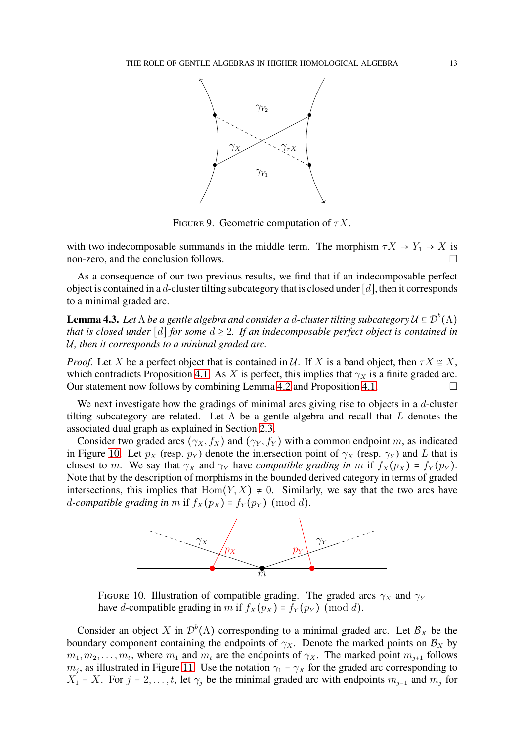

<span id="page-12-0"></span>FIGURE 9. Geometric computation of  $\tau X$ .

with two indecomposable summands in the middle term. The morphism  $\tau X \to Y_1 \to X$  is non-zero, and the conclusion follows.

As a consequence of our two previous results, we find that if an indecomposable perfect object is contained in a d-cluster tilting subcategory that is closed under  $[d]$ , then it corresponds to a minimal graded arc.

<span id="page-12-2"></span>**Lemma 4.3.** Let  $\Lambda$  be a gentle algebra and consider a d-cluster tilting subcategory  $\mathcal{U} \subseteq \mathcal{D}^b(\Lambda)$ *that is closed under* [d] *for some*  $d \geq 2$ *. If an indecomposable perfect object is contained in* U*, then it corresponds to a minimal graded arc.*

*Proof.* Let X be a perfect object that is contained in U. If X is a band object, then  $\tau X \cong X$ , which contradicts Proposition [4.1.](#page-11-0) As X is perfect, this implies that  $\gamma_X$  is a finite graded arc. Our statement now follows by combining Lemma [4.2](#page-11-2) and Proposition [4.1.](#page-11-0)

We next investigate how the gradings of minimal arcs giving rise to objects in a  $d$ -cluster tilting subcategory are related. Let  $\Lambda$  be a gentle algebra and recall that L denotes the associated dual graph as explained in Section [2.3.](#page-4-2)

Consider two graded arcs  $(\gamma_X, f_X)$  and  $(\gamma_Y, f_Y)$  with a common endpoint m, as indicated in Figure [10.](#page-12-1) Let  $p_X$  (resp.  $p_Y$ ) denote the intersection point of  $\gamma_X$  (resp.  $\gamma_Y$ ) and L that is closest to m. We say that  $\gamma_X$  and  $\gamma_Y$  have *compatible grading in* m if  $f_X(p_X) = f_Y(p_Y)$ . Note that by the description of morphisms in the bounded derived category in terms of graded intersections, this implies that  $Hom(Y, X) \neq 0$ . Similarly, we say that the two arcs have *d*-compatible grading in m if  $f_X(p_X) \equiv f_Y(p_Y) \pmod{d}$ .



<span id="page-12-1"></span>FIGURE 10. Illustration of compatible grading. The graded arcs  $\gamma_X$  and  $\gamma_Y$ have d-compatible grading in m if  $f_X(p_X) \equiv f_Y(p_Y) \pmod{d}$ .

Consider an object X in  $\mathcal{D}^b(\Lambda)$  corresponding to a minimal graded arc. Let  $\mathcal{B}_X$  be the boundary component containing the endpoints of  $\gamma_X$ . Denote the marked points on  $\mathcal{B}_X$  by  $m_1, m_2, \ldots, m_t$ , where  $m_1$  and  $m_t$  are the endpoints of  $\gamma_X$ . The marked point  $m_{j+1}$  follows  $m_j$ , as illustrated in Figure [11.](#page-13-0) Use the notation  $\gamma_1 = \gamma_X$  for the graded arc corresponding to  $X_1 = X$ . For  $j = 2, \ldots, t$ , let  $\gamma_j$  be the minimal graded arc with endpoints  $m_{j-1}$  and  $m_j$  for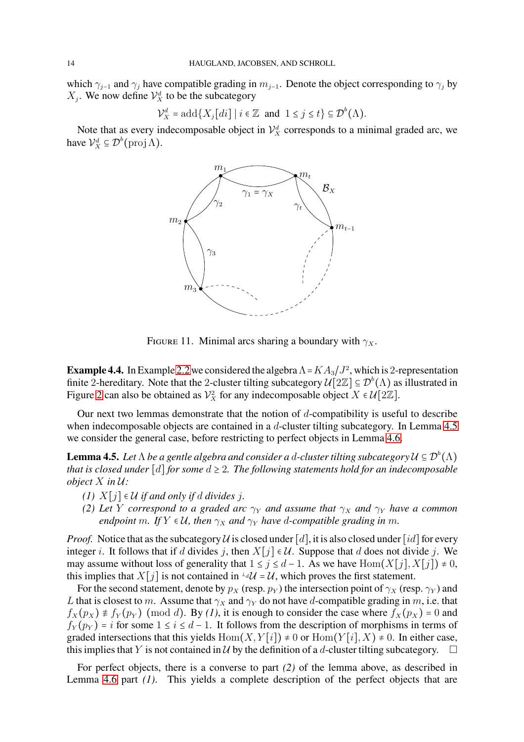which  $\gamma_{j-1}$  and  $\gamma_j$  have compatible grading in  $m_{j-1}$ . Denote the object corresponding to  $\gamma_j$  by  $X_j$ . We now define  $\mathcal{V}_X^d$  to be the subcategory

$$
\mathcal{V}_X^d = \text{add}\{X_j[\,di\,]\mid i\in\mathbb{Z} \text{ and } 1\leq j\leq t\} \subseteq \mathcal{D}^b(\Lambda).
$$

Note that as every indecomposable object in  $\mathcal{V}_X^d$  corresponds to a minimal graded arc, we have  $\mathcal{V}_X^d \subseteq \mathcal{D}^b(\text{proj }\Lambda)$ .



<span id="page-13-0"></span>FIGURE 11. Minimal arcs sharing a boundary with  $\gamma_X$ .

<span id="page-13-2"></span>**Example 4.4.** In Example [2.2](#page-3-1) we considered the algebra  $\Lambda = K A_3 / J^2$ , which is 2-representation finite 2-hereditary. Note that the 2-cluster tilting subcategory  $\mathcal{U}[2\mathbb{Z}] \subseteq \mathcal{D}^b(\Lambda)$  as illustrated in Figure [2](#page-4-0) can also be obtained as  $\mathcal{V}_X^2$  for any indecomposable object  $X \in \mathcal{U}[2\mathbb{Z}]$ .

Our next two lemmas demonstrate that the notion of  $d$ -compatibility is useful to describe when indecomposable objects are contained in a d-cluster tilting subcategory. In Lemma [4.5](#page-13-1) we consider the general case, before restricting to perfect objects in Lemma [4.6.](#page-14-0)

<span id="page-13-1"></span>**Lemma 4.5.** Let  $\Lambda$  be a gentle algebra and consider a d-cluster tilting subcategory  $\mathcal{U} \subseteq \mathcal{D}^b(\Lambda)$ *that is closed under* [d] *for some*  $d \geq 2$ *. The following statements hold for an indecomposable object* X *in* U*:*

- *(1)*  $X[j] ∈ U$  *if and only if d divides j.*
- *(2) Let Y correspond to a graded arc*  $\gamma_Y$  *and assume that*  $\gamma_X$  *and*  $\gamma_Y$  *have a common endpoint* m. If  $Y \in U$ , then  $\gamma_X$  and  $\gamma_Y$  have d-compatible grading in m.

*Proof.* Notice that as the subcategory U is closed under [d], it is also closed under [id] for every integer *i*. It follows that if d divides j, then  $X[j] \in \mathcal{U}$ . Suppose that d does not divide j. We may assume without loss of generality that  $1 \le j \le d-1$ . As we have  $\text{Hom}(X[j], X[j]) \ne 0$ , this implies that  $X[j]$  is not contained in  $\Delta U = U$ , which proves the first statement.

For the second statement, denote by  $p_X$  (resp.  $p_Y$ ) the intersection point of  $\gamma_X$  (resp.  $\gamma_Y$ ) and L that is closest to m. Assume that  $\gamma_X$  and  $\gamma_Y$  do not have d-compatible grading in m, i.e. that  $f_X(p_X) \neq f_Y(p_Y) \pmod{d}$ . By (1), it is enough to consider the case where  $f_X(p_X) = 0$  and  $f_Y(p_Y) = i$  for some  $1 \le i \le d-1$ . It follows from the description of morphisms in terms of graded intersections that this yields  $Hom(X, Y[i]) \neq 0$  or  $Hom(Y[i], X) \neq 0$ . In either case, this implies that Y is not contained in U by the definition of a d-cluster tilting subcategory.  $\Box$ 

For perfect objects, there is a converse to part *(2)* of the lemma above, as described in Lemma [4.6](#page-14-0) part *(1)*. This yields a complete description of the perfect objects that are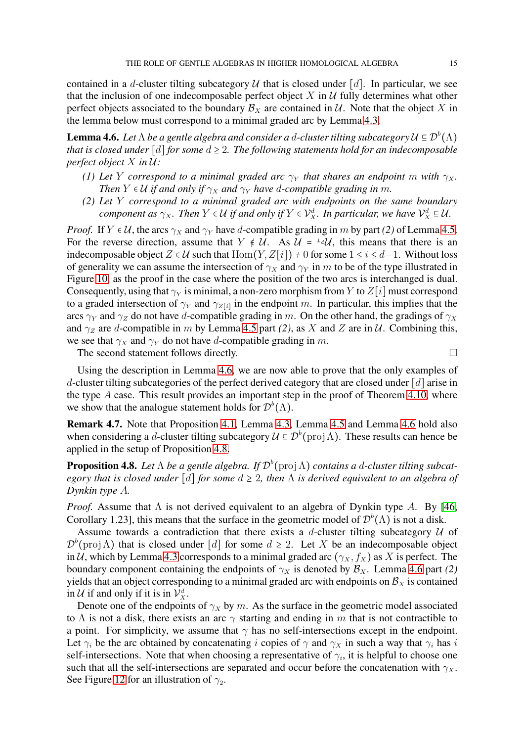contained in a d-cluster tilting subcategory U that is closed under [d]. In particular, we see that the inclusion of one indecomposable perfect object  $X$  in  $U$  fully determines what other perfect objects associated to the boundary  $\mathcal{B}_X$  are contained in  $\mathcal{U}$ . Note that the object X in the lemma below must correspond to a minimal graded arc by Lemma [4.3.](#page-12-2)

<span id="page-14-0"></span>**Lemma 4.6.** Let  $\Lambda$  be a gentle algebra and consider a d-cluster tilting subcategory  $\mathcal{U} \subseteq \mathcal{D}^b(\Lambda)$ *that is closed under* [d] *for some*  $d \geq 2$ *. The following statements hold for an indecomposable perfect object* X *in* U*:*

- *(1) Let* Y *correspond to a minimal graded arc*  $\gamma_Y$  *that shares an endpoint* m *with*  $\gamma_X$ *. Then*  $Y \in U$  *if and only if*  $\gamma_X$  *and*  $\gamma_Y$  *have d-compatible grading in* m.
- *(2) Let* Y *correspond to a minimal graded arc with endpoints on the same boundary component as*  $\gamma_X$ . Then  $Y \in \mathcal{U}$  if and only if  $Y \in \mathcal{V}_X^d$ . In particular, we have  $\mathcal{V}_X^d \subseteq \mathcal{U}$ .

*Proof.* If  $Y \in U$ , the arcs  $\gamma_X$  and  $\gamma_Y$  have d-compatible grading in m by part (2) of Lemma [4.5.](#page-13-1) For the reverse direction, assume that  $Y \notin \mathcal{U}$ . As  $\mathcal{U} = \pm i \mathcal{U}$ , this means that there is an indecomposable object  $Z \in \mathcal{U}$  such that  $\text{Hom}(Y, Z[i]) \neq 0$  for some  $1 \leq i \leq d-1$ . Without loss of generality we can assume the intersection of  $\gamma_X$  and  $\gamma_Y$  in m to be of the type illustrated in Figure [10,](#page-12-1) as the proof in the case where the position of the two arcs is interchanged is dual. Consequently, using that  $\gamma_Y$  is minimal, a non-zero morphism from Y to  $Z[i]$  must correspond to a graded intersection of  $\gamma_Y$  and  $\gamma_{Z[i]}$  in the endpoint m. In particular, this implies that the arcs  $\gamma_Y$  and  $\gamma_Z$  do not have d-compatible grading in m. On the other hand, the gradings of  $\gamma_X$ and  $\gamma_z$  are *d*-compatible in *m* by Lemma [4.5](#page-13-1) part (2), as *X* and *Z* are in *U*. Combining this, we see that  $\gamma_X$  and  $\gamma_Y$  do not have d-compatible grading in m.

The second statement follows directly.  $\Box$ 

Using the description in Lemma [4.6,](#page-14-0) we are now able to prove that the only examples of d-cluster tilting subcategories of the perfect derived category that are closed under  $\lceil d \rceil$  arise in the type  $A$  case. This result provides an important step in the proof of Theorem [4.10,](#page-15-0) where we show that the analogue statement holds for  $\mathcal{D}^b(\Lambda)$ .

**Remark 4.7.** Note that Proposition [4.1,](#page-11-0) Lemma [4.3,](#page-12-2) Lemma [4.5](#page-13-1) and Lemma [4.6](#page-14-0) hold also when considering a *d*-cluster tilting subcategory  $\mathcal{U} \subseteq \mathcal{D}^b(\text{proj}\,\Lambda)$ . These results can hence be applied in the setup of Proposition [4.8.](#page-14-1)

<span id="page-14-1"></span>**Proposition 4.8.** Let  $\Lambda$  be a gentle algebra. If  $\mathcal{D}^b$ ( $\text{proj }\Lambda$ ) *contains a d-cluster tilting subcategory that is closed under* [d] *for some* d ≥ 2*, then* Λ *is derived equivalent to an algebra of Dynkin type* A*.*

*Proof.* Assume that  $\Lambda$  is not derived equivalent to an algebra of Dynkin type A. By [\[46,](#page-21-18) Corollary 1.23], this means that the surface in the geometric model of  $\mathcal{D}^b(\Lambda)$  is not a disk.

Assume towards a contradiction that there exists a d-cluster tilting subcategory  $U$  of  $\mathcal{D}^{b}$ (proj  $\Lambda$ ) that is closed under [d] for some  $d \geq 2$ . Let X be an indecomposable object in U, which by Lemma [4.3](#page-12-2) corresponds to a minimal graded arc  $(\gamma_X, f_X)$  as X is perfect. The boundary component containing the endpoints of  $\gamma_X$  is denoted by  $\mathcal{B}_X$ . Lemma [4.6](#page-14-0) part *(2)* yields that an object corresponding to a minimal graded arc with endpoints on  $\mathcal{B}_X$  is contained in  $\mathcal U$  if and only if it is in  $\mathcal V^d_X$ .

Denote one of the endpoints of  $\gamma_X$  by m. As the surface in the geometric model associated to  $\Lambda$  is not a disk, there exists an arc  $\gamma$  starting and ending in m that is not contractible to a point. For simplicity, we assume that  $\gamma$  has no self-intersections except in the endpoint. Let  $\gamma_i$  be the arc obtained by concatenating i copies of  $\gamma$  and  $\gamma_x$  in such a way that  $\gamma_i$  has i self-intersections. Note that when choosing a representative of  $\gamma_i$ , it is helpful to choose one such that all the self-intersections are separated and occur before the concatenation with  $\gamma_X$ . See Figure [12](#page-15-1) for an illustration of  $\gamma_2$ .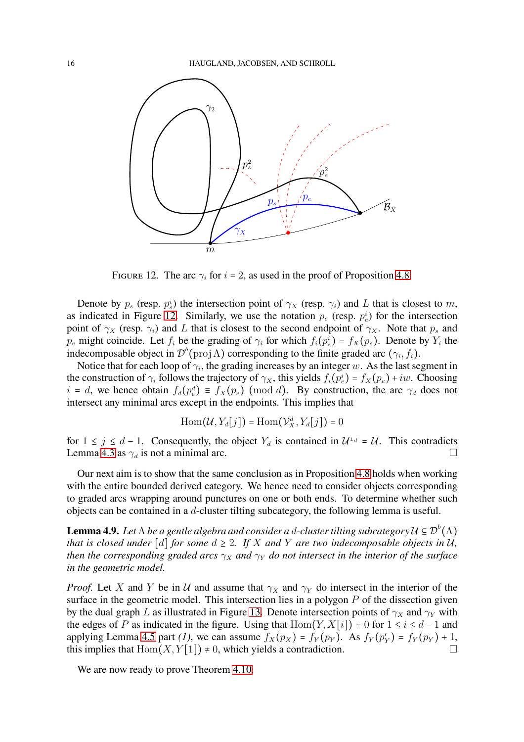

<span id="page-15-1"></span>FIGURE 12. The arc  $\gamma_i$  for  $i = 2$ , as used in the proof of Proposition [4.8.](#page-14-1)

Denote by  $p_s$  (resp.  $p_s^i$ ) the intersection point of  $\gamma_X$  (resp.  $\gamma_i$ ) and L that is closest to m, as indicated in Figure [12.](#page-15-1) Similarly, we use the notation  $p_e$  (resp.  $p_e^i$ ) for the intersection point of  $\gamma_X$  (resp.  $\gamma_i$ ) and L that is closest to the second endpoint of  $\gamma_X$ . Note that  $p_s$  and  $p_e$  might coincide. Let  $f_i$  be the grading of  $\gamma_i$  for which  $f_i(p_s^i) = f_X(p_s)$ . Denote by  $Y_i$  the indecomposable object in  $\mathcal{D}^b(\text{proj}\,\Lambda)$  corresponding to the finite graded arc  $(\gamma_i, f_i)$ .

Notice that for each loop of  $\gamma_i$ , the grading increases by an integer w. As the last segment in the construction of  $\gamma_i$  follows the trajectory of  $\gamma_X$ , this yields  $f_i(p_e^i) = f_X(p_e) + iw$ . Choosing  $i = d$ , we hence obtain  $f_d(p_e^d) \equiv f_X(p_e) \pmod{d}$ . By construction, the arc  $\gamma_d$  does not intersect any minimal arcs except in the endpoints. This implies that

$$
\operatorname{Hom}(\mathcal{U},Y_d[j]) = \operatorname{Hom}(\mathcal{V}_X^d,Y_d[j]) = 0
$$

for  $1 \le j \le d-1$ . Consequently, the object  $Y_d$  is contained in  $\mathcal{U}^{\perp_d} = \mathcal{U}$ . This contradicts Lemma [4.3](#page-12-2) as  $\gamma_d$  is not a minimal arc.

Our next aim is to show that the same conclusion as in Proposition [4.8](#page-14-1) holds when working with the entire bounded derived category. We hence need to consider objects corresponding to graded arcs wrapping around punctures on one or both ends. To determine whether such objects can be contained in a d-cluster tilting subcategory, the following lemma is useful.

<span id="page-15-2"></span>**Lemma 4.9.** Let  $\Lambda$  be a gentle algebra and consider a d-cluster tilting subcategory  $\mathcal{U} \subseteq \mathcal{D}^b(\Lambda)$ *that is closed under* [d] *for some*  $d \geq 2$ *. If* X and Y are two indecomposable objects in U, *then the corresponding graded arcs*  $\gamma_X$  *and*  $\gamma_Y$  *do not intersect in the interior of the surface in the geometric model.*

*Proof.* Let X and Y be in U and assume that  $\gamma_X$  and  $\gamma_Y$  do intersect in the interior of the surface in the geometric model. This intersection lies in a polygon  $P$  of the dissection given by the dual graph L as illustrated in Figure [13.](#page-16-0) Denote intersection points of  $\gamma_X$  and  $\gamma_Y$  with the edges of P as indicated in the figure. Using that  $Hom(Y, X[i]) = 0$  for  $1 \le i \le d - 1$  and applying Lemma [4.5](#page-13-1) part (1), we can assume  $f_X(p_X) = f_Y(p_Y)$ . As  $f_Y(p'_Y) = f_Y(p_Y) + 1$ , this implies that  $\text{Hom}(X, Y[1]) \neq 0$ , which yields a contradiction.

<span id="page-15-0"></span>We are now ready to prove Theorem [4.10.](#page-15-0)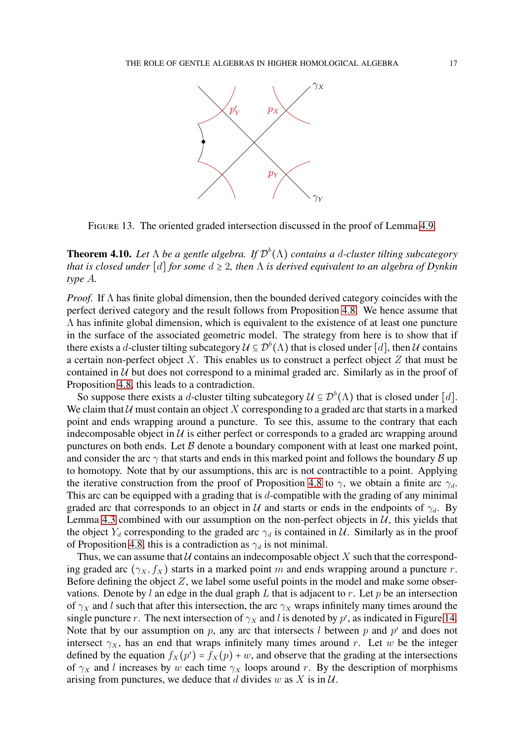

<span id="page-16-0"></span>FIGURE 13. The oriented graded intersection discussed in the proof of Lemma [4.9.](#page-15-2)

**Theorem 4.10.** *Let* Λ *be a gentle algebra. If* D b (Λ) *contains a* d*-cluster tilting subcategory that is closed under* [d] *for some* d ≥ 2*, then* Λ *is derived equivalent to an algebra of Dynkin type* A*.*

*Proof.* If Λ has finite global dimension, then the bounded derived category coincides with the perfect derived category and the result follows from Proposition [4.8.](#page-14-1) We hence assume that  $\Lambda$  has infinite global dimension, which is equivalent to the existence of at least one puncture in the surface of the associated geometric model. The strategy from here is to show that if there exists a d-cluster tilting subcategory  $\mathcal{U} \subseteq \mathcal{D}^b(\Lambda)$  that is closed under [d], then  $\mathcal U$  contains a certain non-perfect object X. This enables us to construct a perfect object  $Z$  that must be contained in  $U$  but does not correspond to a minimal graded arc. Similarly as in the proof of Proposition [4.8,](#page-14-1) this leads to a contradiction.

So suppose there exists a d-cluster tilting subcategory  $\mathcal{U} \subseteq \mathcal{D}^b(\Lambda)$  that is closed under [d]. We claim that  $U$  must contain an object X corresponding to a graded arc that starts in a marked point and ends wrapping around a puncture. To see this, assume to the contrary that each indecomposable object in  $U$  is either perfect or corresponds to a graded arc wrapping around punctures on both ends. Let  $\beta$  denote a boundary component with at least one marked point, and consider the arc  $\gamma$  that starts and ends in this marked point and follows the boundary  $\beta$  up to homotopy. Note that by our assumptions, this arc is not contractible to a point. Applying the iterative construction from the proof of Proposition [4.8](#page-14-1) to  $\gamma$ , we obtain a finite arc  $\gamma_d$ . This arc can be equipped with a grading that is  $d$ -compatible with the grading of any minimal graded arc that corresponds to an object in U and starts or ends in the endpoints of  $\gamma_d$ . By Lemma [4.3](#page-12-2) combined with our assumption on the non-perfect objects in  $U$ , this yields that the object  $Y_d$  corresponding to the graded arc  $\gamma_d$  is contained in U. Similarly as in the proof of Proposition [4.8,](#page-14-1) this is a contradiction as  $\gamma_d$  is not minimal.

Thus, we can assume that  $U$  contains an indecomposable object X such that the corresponding graded arc ( $\gamma_X, f_X$ ) starts in a marked point m and ends wrapping around a puncture r. Before defining the object  $Z$ , we label some useful points in the model and make some observations. Denote by l an edge in the dual graph L that is adjacent to r. Let p be an intersection of  $\gamma_X$  and l such that after this intersection, the arc  $\gamma_X$  wraps infinitely many times around the single puncture r. The next intersection of  $\gamma_X$  and l is denoted by p', as indicated in Figure [14.](#page-17-0) Note that by our assumption on  $p$ , any arc that intersects  $l$  between  $p$  and  $p'$  and does not intersect  $\gamma_X$ , has an end that wraps infinitely many times around r. Let w be the integer defined by the equation  $f_X(p') = f_X(p) + w$ , and observe that the grading at the intersections of  $\gamma_X$  and l increases by w each time  $\gamma_X$  loops around r. By the description of morphisms arising from punctures, we deduce that d divides w as X is in  $\mathcal{U}$ .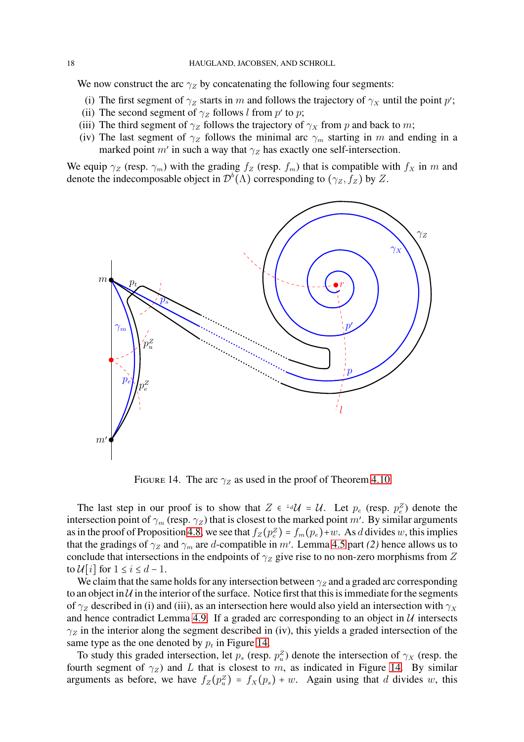We now construct the arc  $\gamma_Z$  by concatenating the following four segments:

- (i) The first segment of  $\gamma_z$  starts in m and follows the trajectory of  $\gamma_x$  until the point p';
- (ii) The second segment of  $\gamma_z$  follows l from p' to p;
- (iii) The third segment of  $\gamma_Z$  follows the trajectory of  $\gamma_X$  from p and back to m;
- (iv) The last segment of  $\gamma_z$  follows the minimal arc  $\gamma_m$  starting in m and ending in a marked point  $m'$  in such a way that  $\gamma_Z$  has exactly one self-intersection.

We equip  $\gamma_Z$  (resp.  $\gamma_m$ ) with the grading  $f_Z$  (resp.  $f_m$ ) that is compatible with  $f_X$  in m and denote the indecomposable object in  $\mathcal{D}^b(\Lambda)$  corresponding to  $(\gamma_Z, f_Z)$  by Z.



<span id="page-17-0"></span>FIGURE 14. The arc  $\gamma_z$  as used in the proof of Theorem [4.10](#page-15-0)

The last step in our proof is to show that  $Z \in \text{Id}U = U$ . Let  $p_e$  (resp.  $p_e^Z$ ) denote the intersection point of  $\gamma_m$  (resp.  $\gamma_Z$ ) that is closest to the marked point m'. By similar arguments as in the proof of Proposition [4.8,](#page-14-1) we see that  $f_Z(p_e^Z) = f_m(p_e) + w$ . As d divides w, this implies that the gradings of  $\gamma_Z$  and  $\gamma_m$  are *d*-compatible in m'. Lemma [4.5](#page-13-1) part *(2)* hence allows us to conclude that intersections in the endpoints of  $\gamma_z$  give rise to no non-zero morphisms from Z to  $\mathcal{U}[i]$  for  $1 \leq i \leq d-1$ .

We claim that the same holds for any intersection between  $\gamma_Z$  and a graded arc corresponding to an object in  $U$  in the interior of the surface. Notice first that this is immediate for the segments of  $\gamma$ <sub>Z</sub> described in (i) and (iii), as an intersection here would also yield an intersection with  $\gamma$ <sub>X</sub> and hence contradict Lemma [4.9.](#page-15-2) If a graded arc corresponding to an object in  $U$  intersects  $\gamma_z$  in the interior along the segment described in (iv), this yields a graded intersection of the same type as the one denoted by  $p_t$  in Figure [14.](#page-17-0)

To study this graded intersection, let  $p_s$  (resp.  $p_u^Z$ ) denote the intersection of  $\gamma_X$  (resp. the fourth segment of  $\gamma_z$ ) and L that is closest to m, as indicated in Figure [14.](#page-17-0) By similar arguments as before, we have  $f_Z(p_u^z) = f_X(p_s) + w$ . Again using that d divides w, this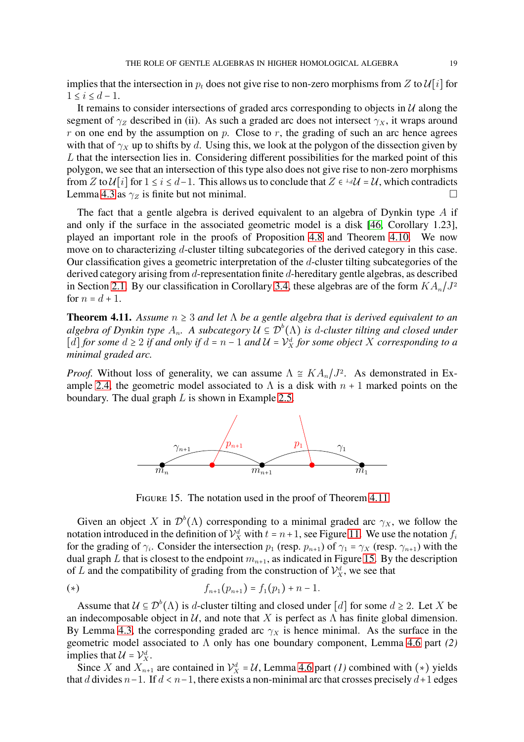implies that the intersection in  $p_t$  does not give rise to non-zero morphisms from Z to  $\mathcal{U}[i]$  for  $1 \leq i \leq d-1$ .

It remains to consider intersections of graded arcs corresponding to objects in  $U$  along the segment of  $\gamma_z$  described in (ii). As such a graded arc does not intersect  $\gamma_x$ , it wraps around  $r$  on one end by the assumption on  $p$ . Close to  $r$ , the grading of such an arc hence agrees with that of  $\gamma_X$  up to shifts by d. Using this, we look at the polygon of the dissection given by L that the intersection lies in. Considering different possibilities for the marked point of this polygon, we see that an intersection of this type also does not give rise to non-zero morphisms from Z to  $\mathcal{U}[i]$  for  $1 \le i \le d-1$ . This allows us to conclude that  $Z \in \mathcal{U} \cup \mathcal{U}$  =  $\mathcal{U}$ , which contradicts Lemma [4.3](#page-12-2) as  $\gamma_Z$  is finite but not minimal.

The fact that a gentle algebra is derived equivalent to an algebra of Dynkin type  $A$  if and only if the surface in the associated geometric model is a disk [\[46,](#page-21-18) Corollary 1.23], played an important role in the proofs of Proposition [4.8](#page-14-1) and Theorem [4.10.](#page-15-0) We now move on to characterizing d-cluster tilting subcategories of the derived category in this case. Our classification gives a geometric interpretation of the  $d$ -cluster tilting subcategories of the derived category arising from d-representation finite d-hereditary gentle algebras, as described in Section [2.1.](#page-2-1) By our classification in Corollary [3.4,](#page-10-1) these algebras are of the form  $KA_n/J^2$ for  $n = d + 1$ .

<span id="page-18-0"></span>**Theorem 4.11.** *Assume* n ≥ 3 *and let* Λ *be a gentle algebra that is derived equivalent to an*  $algebra$  of Dynkin type  $A_n$ . A subcategory  $\mathcal{U} \subseteq \mathcal{D}^b(\Lambda)$  is d-cluster tilting and closed under  $[d]$  *for some*  $d \geq 2$  *if and only if*  $d = n - 1$  *and*  $\mathcal{U} = \mathcal{V}_X^d$  *for some object* X *corresponding to a minimal graded arc.*

*Proof.* Without loss of generality, we can assume  $\Lambda \cong KA_n/J^2$ . As demonstrated in Ex-ample [2.4,](#page-5-1) the geometric model associated to  $\Lambda$  is a disk with  $n + 1$  marked points on the boundary. The dual graph  $L$  is shown in Example [2.5.](#page-5-3)



<span id="page-18-1"></span>FIGURE 15. The notation used in the proof of Theorem [4.11](#page-18-0)

Given an object X in  $\mathcal{D}^b(\Lambda)$  corresponding to a minimal graded arc  $\gamma_X$ , we follow the notation introduced in the definition of  $\mathcal{V}_X^d$  with  $t = n+1$ , see Figure [11.](#page-13-0) We use the notation  $f_i$ for the grading of  $\gamma_i$ . Consider the intersection  $p_1$  (resp.  $p_{n+1}$ ) of  $\gamma_1 = \gamma_X$  (resp.  $\gamma_{n+1}$ ) with the dual graph L that is closest to the endpoint  $m_{n+1}$ , as indicated in Figure [15.](#page-18-1) By the description of L and the compatibility of grading from the construction of  $\mathcal{V}_X^d$ , we see that

(\*) 
$$
f_{n+1}(p_{n+1}) = f_1(p_1) + n - 1.
$$

Assume that  $\mathcal{U} \subseteq \mathcal{D}^b(\Lambda)$  is d-cluster tilting and closed under [d] for some  $d \geq 2$ . Let X be an indecomposable object in  $U$ , and note that X is perfect as  $\Lambda$  has finite global dimension. By Lemma [4.3,](#page-12-2) the corresponding graded arc  $\gamma_X$  is hence minimal. As the surface in the geometric model associated to Λ only has one boundary component, Lemma [4.6](#page-14-0) part *(2)* implies that  $\mathcal{U} = \mathcal{V}_X^d$ .

Since X and  $X_{n+1}$  are contained in  $\mathcal{V}_X^d = \mathcal{U}$ , Lemma [4.6](#page-14-0) part *(1)* combined with  $(*)$  yields that d divides  $n-1$ . If  $d < n-1$ , there exists a non-minimal arc that crosses precisely  $d+1$  edges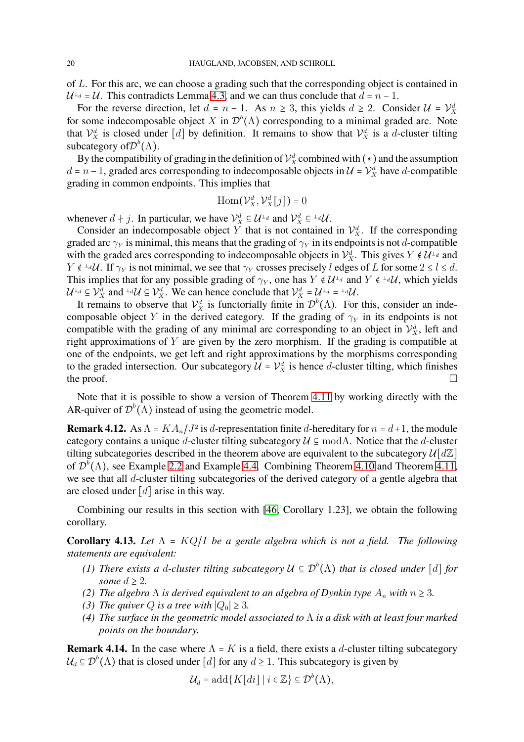of L. For this arc, we can choose a grading such that the corresponding object is contained in  $\mathcal{U}^{\perp_d} = \mathcal{U}$ . This contradicts Lemma [4.3,](#page-12-2) and we can thus conclude that  $d = n - 1$ .

For the reverse direction, let  $d = n - 1$ . As  $n \ge 3$ , this yields  $d \ge 2$ . Consider  $\mathcal{U} = \mathcal{V}_X^d$ for some indecomposable object X in  $\mathcal{D}^b(\Lambda)$  corresponding to a minimal graded arc. Note that  $\mathcal{V}_X^d$  is closed under [d] by definition. It remains to show that  $\mathcal{V}_X^d$  is a d-cluster tilting subcategory of  $\mathcal{D}^{b}(\Lambda)$ .

By the compatibility of grading in the definition of  $\mathcal{V}_X^d$  combined with  $(*)$  and the assumption  $d = n - 1$ , graded arcs corresponding to indecomposable objects in  $\mathcal{U} = \mathcal{V}_X^d$  have d-compatible grading in common endpoints. This implies that

$$
\operatorname{Hom}(\mathcal{V}_X^d, \mathcal{V}_X^d[j]) = 0
$$

whenever  $d \nmid j$ . In particular, we have  $\mathcal{V}_X^d \subseteq \mathcal{U}^{\perp_d}$  and  $\mathcal{V}_X^d \subseteq {\perp_d} \mathcal{U}$ .

Consider an indecomposable object Y that is not contained in  $\mathcal{V}_X^d$ . If the corresponding graded arc  $\gamma_Y$  is minimal, this means that the grading of  $\gamma_Y$  in its endpoints is not d-compatible with the graded arcs corresponding to indecomposable objects in  $\mathcal{V}_X^d$ . This gives  $Y \notin \mathcal{U}^{\perp_d}$  and  $Y \notin \text{L}^d U$ . If  $\gamma_Y$  is not minimal, we see that  $\gamma_Y$  crosses precisely l edges of L for some  $2 \le l \le d$ . This implies that for any possible grading of  $\gamma_Y$ , one has  $Y \notin \mathcal{U}^{\perp_d}$  and  $Y \notin {}^{\perp_d} \mathcal{U}$ , which yields  $\mathcal{U}^{\perp_d} \subseteq \mathcal{V}_X^d$  and  $^{\perp_d} \mathcal{U} \subseteq \mathcal{V}_X^d$ . We can hence conclude that  $\mathcal{V}_X^d = \mathcal{U}^{\perp_d} = {}^{\perp_d} \mathcal{U}$ .

It remains to observe that  $\mathcal{V}_X^d$  is functorially finite in  $\mathcal{D}^b(\Lambda)$ . For this, consider an indecomposable object Y in the derived category. If the grading of  $\gamma_Y$  in its endpoints is not compatible with the grading of any minimal arc corresponding to an object in  $\mathcal{V}_X^d$ , left and right approximations of Y are given by the zero morphism. If the grading is compatible at one of the endpoints, we get left and right approximations by the morphisms corresponding to the graded intersection. Our subcategory  $\mathcal{U} = \mathcal{V}_X^d$  is hence d-cluster tilting, which finishes the proof.  $\Box$ 

Note that it is possible to show a version of Theorem [4.11](#page-18-0) by working directly with the AR-quiver of  $\mathcal{D}^b(\Lambda)$  instead of using the geometric model.

**Remark 4.12.** As  $\Lambda = KA_n/J^2$  is d-representation finite d-hereditary for  $n = d+1$ , the module category contains a unique d-cluster tilting subcategory  $\mathcal{U} \subseteq \text{mod}\Lambda$ . Notice that the d-cluster tilting subcategories described in the theorem above are equivalent to the subcategory  $\mathcal{U}[\mathcal{d}\mathbb{Z}]$ of  $\mathcal{D}^b(\Lambda)$ , see Example [2.2](#page-3-1) and Example [4.4.](#page-13-2) Combining Theorem [4.10](#page-15-0) and Theorem [4.11,](#page-18-0) we see that all d-cluster tilting subcategories of the derived category of a gentle algebra that are closed under  $[d]$  arise in this way.

Combining our results in this section with [\[46,](#page-21-18) Corollary 1.23], we obtain the following corollary.

**Corollary 4.13.** *Let* Λ = KQ/I *be a gentle algebra which is not a field. The following statements are equivalent:*

- *(1) There exists a d-cluster tilting subcategory*  $\mathcal{U} \subseteq \mathcal{D}^b(\Lambda)$  *that is closed under* [*d*] *for some*  $d \geq 2$ *.*
- *(2) The algebra*  $\Lambda$  *is derived equivalent to an algebra of Dynkin type*  $A_n$  *with*  $n \geq 3$ *.*
- *(3) The quiver Q is a tree with*  $|Q_0| \geq 3$ *.*
- *(4) The surface in the geometric model associated to* Λ *is a disk with at least four marked points on the boundary.*

**Remark 4.14.** In the case where  $\Lambda = K$  is a field, there exists a d-cluster tilting subcategory  $\mathcal{U}_d \subseteq \mathcal{D}^b(\Lambda)$  that is closed under [d] for any  $d \geq 1$ . This subcategory is given by

$$
\mathcal{U}_d = \mathrm{add}\{K[di] \mid i \in \mathbb{Z}\} \subseteq \mathcal{D}^b(\Lambda),
$$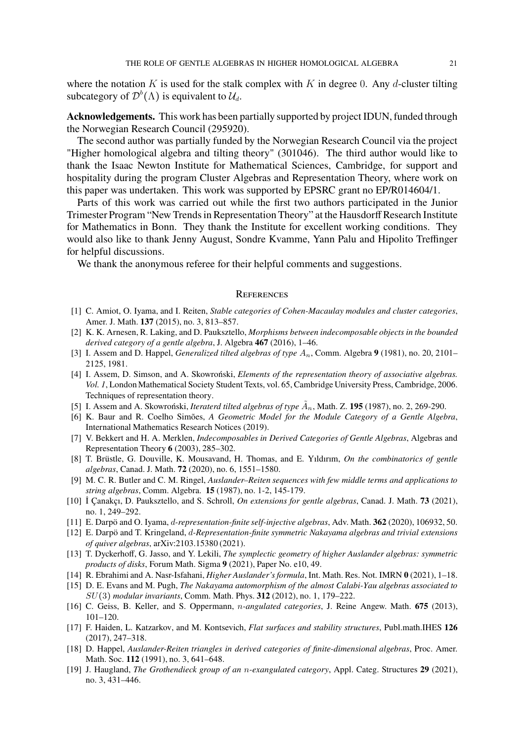where the notation  $K$  is used for the stalk complex with  $K$  in degree 0. Any  $d$ -cluster tilting subcategory of  $\mathcal{D}^b(\Lambda)$  is equivalent to  $\mathcal{U}_d$ .

**Acknowledgements.** This work has been partially supported by project IDUN, funded through the Norwegian Research Council (295920).

The second author was partially funded by the Norwegian Research Council via the project "Higher homological algebra and tilting theory" (301046). The third author would like to thank the Isaac Newton Institute for Mathematical Sciences, Cambridge, for support and hospitality during the program Cluster Algebras and Representation Theory, where work on this paper was undertaken. This work was supported by EPSRC grant no EP/R014604/1.

Parts of this work was carried out while the first two authors participated in the Junior Trimester Program "New Trends in Representation Theory" at the Hausdorff Research Institute for Mathematics in Bonn. They thank the Institute for excellent working conditions. They would also like to thank Jenny August, Sondre Kvamme, Yann Palu and Hipolito Treffinger for helpful discussions.

We thank the anonymous referee for their helpful comments and suggestions.

#### **REFERENCES**

- <span id="page-20-2"></span>[1] C. Amiot, O. Iyama, and I. Reiten, *Stable categories of Cohen-Macaulay modules and cluster categories*, Amer. J. Math. **137** (2015), no. 3, 813–857.
- <span id="page-20-9"></span>[2] K. K. Arnesen, R. Laking, and D. Pauksztello, *Morphisms between indecomposable objects in the bounded derived category of a gentle algebra*, J. Algebra **467** (2016), 1–46.
- <span id="page-20-11"></span>[3] I. Assem and D. Happel, *Generalized tilted algebras of type* An, Comm. Algebra **9** (1981), no. 20, 2101– 2125, 1981.
- <span id="page-20-16"></span>[4] I. Assem, D. Simson, and A. Skowroński, *Elements of the representation theory of associative algebras. Vol. 1*, London Mathematical Society Student Texts, vol. 65, Cambridge University Press, Cambridge, 2006. Techniques of representation theory.
- <span id="page-20-12"></span>[5] I. Assem and A. Skowroński, *Iteraterd tilted algebras of type*  $\tilde{A}_n$ , Math. Z. **195** (1987), no. 2, 269-290.
- <span id="page-20-14"></span>[6] K. Baur and R. Coelho Simões, *A Geometric Model for the Module Category of a Gentle Algebra*, International Mathematics Research Notices (2019).
- <span id="page-20-8"></span>[7] V. Bekkert and H. A. Merklen, *Indecomposables in Derived Categories of Gentle Algebras*, Algebras and Representation Theory **6** (2003), 285–302.
- <span id="page-20-18"></span>[8] T. Brüstle, G. Douville, K. Mousavand, H. Thomas, and E. Yıldırım, *On the combinatorics of gentle algebras*, Canad. J. Math. **72** (2020), no. 6, 1551–1580.
- <span id="page-20-13"></span>[9] M. C. R. Butler and C. M. Ringel, *Auslander–Reiten sequences with few middle terms and applications to string algebras*, Comm. Algebra. **15** (1987), no. 1-2, 145-179.
- <span id="page-20-17"></span>[10] İ Çanakçı, D. Pauksztello, and S. Schroll, *On extensions for gentle algebras*, Canad. J. Math. **73** (2021), no. 1, 249–292.
- <span id="page-20-6"></span>[11] E. Darpö and O. Iyama, d*-representation-finite self-injective algebras*, Adv. Math. **362** (2020), 106932, 50.
- <span id="page-20-7"></span>[12] E. Darpö and T. Kringeland, d*-Representation-finite symmetric Nakayama algebras and trivial extensions of quiver algebras*, arXiv:2103.15380 (2021).
- <span id="page-20-4"></span>[13] T. Dyckerhoff, G. Jasso, and Y. Lekili, *The symplectic geometry of higher Auslander algebras: symmetric products of disks*, Forum Math. Sigma **9** (2021), Paper No. e10, 49.
- <span id="page-20-5"></span>[14] R. Ebrahimi and A. Nasr-Isfahani, *Higher Auslander's formula*, Int. Math. Res. Not. IMRN **0** (2021), 1–18.
- <span id="page-20-3"></span>[15] D. E. Evans and M. Pugh, *The Nakayama automorphism of the almost Calabi-Yau algebras associated to* SU(3) *modular invariants*, Comm. Math. Phys. **312** (2012), no. 1, 179–222.
- <span id="page-20-0"></span>[16] C. Geiss, B. Keller, and S. Oppermann, n*-angulated categories*, J. Reine Angew. Math. **675** (2013), 101–120.
- <span id="page-20-10"></span>[17] F. Haiden, L. Katzarkov, and M. Kontsevich, *Flat surfaces and stability structures*, Publ.math.IHES **126** (2017), 247–318.
- <span id="page-20-15"></span>[18] D. Happel, *Auslander-Reiten triangles in derived categories of finite-dimensional algebras*, Proc. Amer. Math. Soc. **112** (1991), no. 3, 641–648.
- <span id="page-20-1"></span>[19] J. Haugland, *The Grothendieck group of an* n*-exangulated category*, Appl. Categ. Structures **29** (2021), no. 3, 431–446.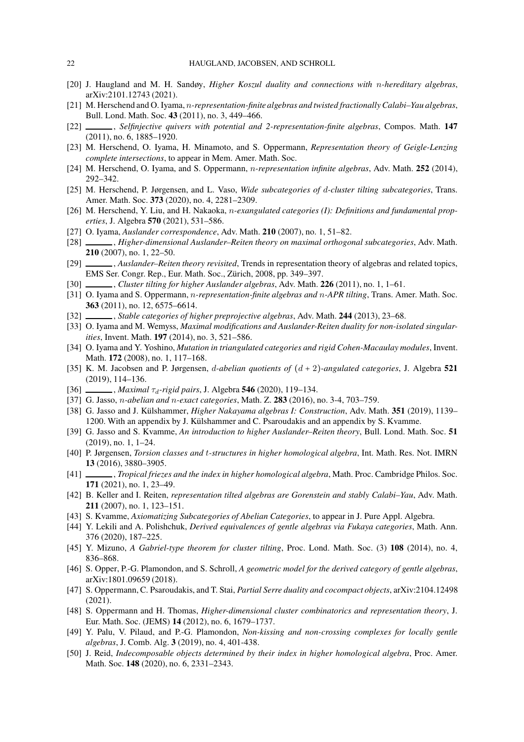- <span id="page-21-23"></span>[20] J. Haugland and M. H. Sandøy, *Higher Koszul duality and connections with* n*-hereditary algebras*, arXiv:2101.12743 (2021).
- [21] M. Herschend and O. Iyama, n*-representation-finite algebras and twisted fractionally Calabi–Yau algebras*, Bull. Lond. Math. Soc. **43** (2011), no. 3, 449–466.
- <span id="page-21-24"></span>[22] , *Selfinjective quivers with potential and 2-representation-finite algebras*, Compos. Math. **147** (2011), no. 6, 1885–1920.
- <span id="page-21-13"></span>[23] M. Herschend, O. Iyama, H. Minamoto, and S. Oppermann, *Representation theory of Geigle-Lenzing complete intersections*, to appear in Mem. Amer. Math. Soc.
- <span id="page-21-25"></span>[24] M. Herschend, O. Iyama, and S. Oppermann, n*-representation infinite algebras*, Adv. Math. **252** (2014), 292–342.
- <span id="page-21-4"></span>[25] M. Herschend, P. Jørgensen, and L. Vaso, *Wide subcategories of* d*-cluster tilting subcategories*, Trans. Amer. Math. Soc. **373** (2020), no. 4, 2281–2309.
- <span id="page-21-2"></span>[26] M. Herschend, Y. Liu, and H. Nakaoka, *n-exangulated categories (I): Definitions and fundamental properties*, J. Algebra **570** (2021), 531–586.
- <span id="page-21-0"></span>[27] O. Iyama, *Auslander correspondence*, Adv. Math. **210** (2007), no. 1, 51–82.
- <span id="page-21-1"></span>[28] , *Higher-dimensional Auslander–Reiten theory on maximal orthogonal subcategories*, Adv. Math. **210** (2007), no. 1, 22–50.
- <span id="page-21-11"></span>[29] , *Auslander–Reiten theory revisited*, Trends in representation theory of algebras and related topics, EMS Ser. Congr. Rep., Eur. Math. Soc., Zürich, 2008, pp. 349–397.
- <span id="page-21-21"></span>[30] , *Cluster tilting for higher Auslander algebras*, Adv. Math. **226** (2011), no. 1, 1–61.
- <span id="page-21-26"></span>[31] O. Iyama and S. Oppermann, n*-representation-finite algebras and* n*-APR tilting*, Trans. Amer. Math. Soc. **363** (2011), no. 12, 6575–6614.
- <span id="page-21-19"></span>[32] , *Stable categories of higher preprojective algebras*, Adv. Math. **244** (2013), 23–68.
- <span id="page-21-14"></span>[33] O. Iyama and M. Wemyss, *Maximal modifications and Auslander-Reiten duality for non-isolated singularities*, Invent. Math. **197** (2014), no. 3, 521–586.
- <span id="page-21-28"></span>[34] O. Iyama and Y. Yoshino, *Mutation in triangulated categories and rigid Cohen-Macaulay modules*, Invent. Math. **172** (2008), no. 1, 117–168.
- <span id="page-21-5"></span>[35] K. M. Jacobsen and P. Jørgensen, d*-abelian quotients of* (d + 2)*-angulated categories*, J. Algebra **521** (2019), 114–136.
- <span id="page-21-6"></span>[36] *\_\_\_\_\_, Maximal* τ<sub>d</sub>-rigid pairs, J. Algebra 546 (2020), 119-134.
- <span id="page-21-3"></span>[37] G. Jasso, n*-abelian and* n*-exact categories*, Math. Z. **283** (2016), no. 3-4, 703–759.
- <span id="page-21-7"></span>[38] G. Jasso and J. Külshammer, *Higher Nakayama algebras I: Construction*, Adv. Math. **351** (2019), 1139– 1200. With an appendix by J. Külshammer and C. Psaroudakis and an appendix by S. Kvamme.
- <span id="page-21-12"></span>[39] G. Jasso and S. Kvamme, *An introduction to higher Auslander–Reiten theory*, Bull. Lond. Math. Soc. **51** (2019), no. 1, 1–24.
- <span id="page-21-8"></span>[40] P. Jørgensen, *Torsion classes and* t*-structures in higher homological algebra*, Int. Math. Res. Not. IMRN **13** (2016), 3880–3905.
- <span id="page-21-15"></span>[41] , *Tropical friezes and the index in higher homological algebra*, Math. Proc. Cambridge Philos. Soc. **171** (2021), no. 1, 23–49.
- <span id="page-21-22"></span>[42] B. Keller and I. Reiten, *representation tilted algebras are Gorenstein and stably Calabi–Yau*, Adv. Math. **211** (2007), no. 1, 123–151.
- <span id="page-21-17"></span>[43] S. Kvamme, *Axiomatizing Subcategories of Abelian Categories*, to appear in J. Pure Appl. Algebra.
- <span id="page-21-20"></span>[44] Y. Lekili and A. Polishchuk, *Derived equivalences of gentle algebras via Fukaya categories*, Math. Ann. 376 (2020), 187–225.
- <span id="page-21-9"></span>[45] Y. Mizuno, *A Gabriel-type theorem for cluster tilting*, Proc. Lond. Math. Soc. (3) **108** (2014), no. 4, 836–868.
- <span id="page-21-18"></span>[46] S. Opper, P.-G. Plamondon, and S. Schroll, *A geometric model for the derived category of gentle algebras*, arXiv:1801.09659 (2018).
- <span id="page-21-29"></span>[47] S. Oppermann, C. Psaroudakis, and T. Stai, *Partial Serre duality and cocompact objects*, arXiv:2104.12498 (2021).
- <span id="page-21-16"></span>[48] S. Oppermann and H. Thomas, *Higher-dimensional cluster combinatorics and representation theory*, J. Eur. Math. Soc. (JEMS) **14** (2012), no. 6, 1679–1737.
- <span id="page-21-27"></span>[49] Y. Palu, V. Pilaud, and P.-G. Plamondon, *Non-kissing and non-crossing complexes for locally gentle algebras*, J. Comb. Alg. **3** (2019), no. 4, 401-438.
- <span id="page-21-10"></span>[50] J. Reid, *Indecomposable objects determined by their index in higher homological algebra*, Proc. Amer. Math. Soc. **148** (2020), no. 6, 2331–2343.